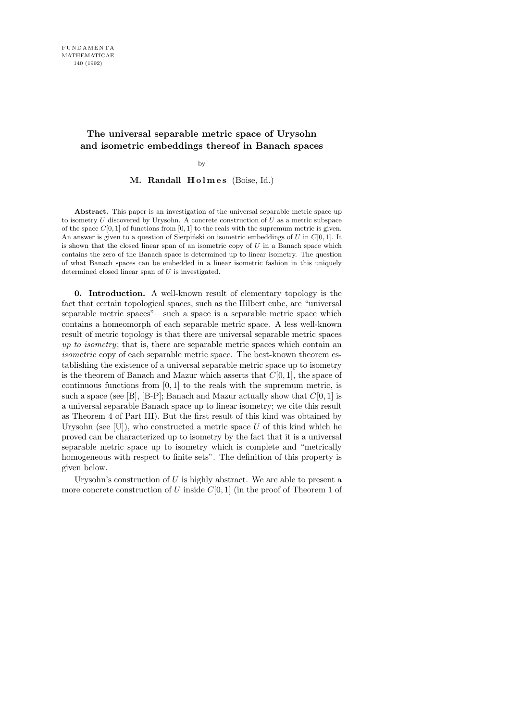# The universal separable metric space of Urysohn and isometric embeddings thereof in Banach spaces

by

# M. Randall Holmes (Boise, Id.)

Abstract. This paper is an investigation of the universal separable metric space up to isometry  $U$  discovered by Urysohn. A concrete construction of  $U$  as a metric subspace of the space  $C[0, 1]$  of functions from  $[0, 1]$  to the reals with the supremum metric is given. An answer is given to a question of Sierpiński on isometric embeddings of U in  $C[0, 1]$ . It is shown that the closed linear span of an isometric copy of  $U$  in a Banach space which contains the zero of the Banach space is determined up to linear isometry. The question of what Banach spaces can be embedded in a linear isometric fashion in this uniquely determined closed linear span of  $U$  is investigated.

0. Introduction. A well-known result of elementary topology is the fact that certain topological spaces, such as the Hilbert cube, are "universal separable metric spaces"—such a space is a separable metric space which contains a homeomorph of each separable metric space. A less well-known result of metric topology is that there are universal separable metric spaces up to isometry; that is, there are separable metric spaces which contain an isometric copy of each separable metric space. The best-known theorem establishing the existence of a universal separable metric space up to isometry is the theorem of Banach and Mazur which asserts that  $C[0, 1]$ , the space of continuous functions from  $[0, 1]$  to the reals with the supremum metric, is such a space (see [B], [B-P]; Banach and Mazur actually show that  $C[0, 1]$  is a universal separable Banach space up to linear isometry; we cite this result as Theorem 4 of Part III). But the first result of this kind was obtained by Urysohn (see [U]), who constructed a metric space  $U$  of this kind which he proved can be characterized up to isometry by the fact that it is a universal separable metric space up to isometry which is complete and "metrically homogeneous with respect to finite sets". The definition of this property is given below.

Urysohn's construction of  $U$  is highly abstract. We are able to present a more concrete construction of U inside  $C[0, 1]$  (in the proof of Theorem 1 of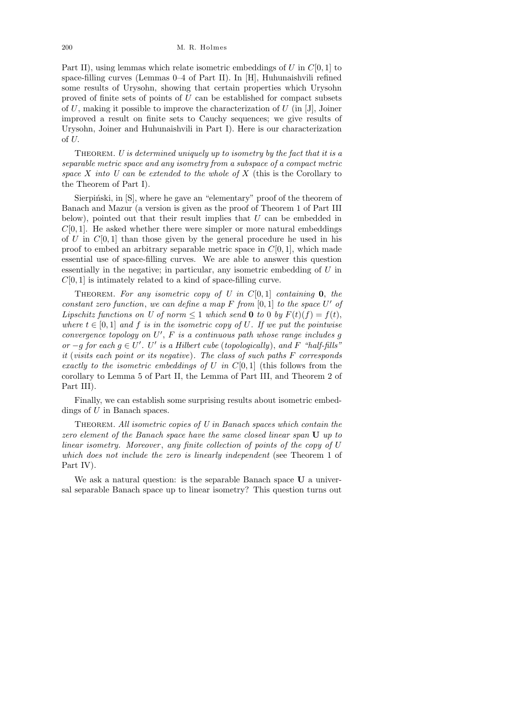Part II), using lemmas which relate isometric embeddings of U in  $C[0, 1]$  to space-filling curves (Lemmas 0–4 of Part II). In [H], Huhunaishvili refined some results of Urysohn, showing that certain properties which Urysohn proved of finite sets of points of U can be established for compact subsets of  $U$ , making it possible to improve the characterization of  $U$  (in [J], Joiner improved a result on finite sets to Cauchy sequences; we give results of Urysohn, Joiner and Huhunaishvili in Part I). Here is our characterization of U.

THEOREM. U is determined uniquely up to isometry by the fact that it is a separable metric space and any isometry from a subspace of a compact metric space X into U can be extended to the whole of X (this is the Corollary to the Theorem of Part I).

Sierpiński, in [S], where he gave an "elementary" proof of the theorem of Banach and Mazur (a version is given as the proof of Theorem 1 of Part III below), pointed out that their result implies that U can be embedded in  $C[0, 1]$ . He asked whether there were simpler or more natural embeddings of  $U$  in  $C[0, 1]$  than those given by the general procedure he used in his proof to embed an arbitrary separable metric space in  $C[0, 1]$ , which made essential use of space-filling curves. We are able to answer this question essentially in the negative; in particular, any isometric embedding of U in  $C[0, 1]$  is intimately related to a kind of space-filling curve.

THEOREM. For any isometric copy of U in  $C[0, 1]$  containing 0, the constant zero function, we can define a map  $F$  from  $[0,1]$  to the space  $U'$  of Lipschitz functions on U of norm  $\leq 1$  which send 0 to 0 by  $F(t)(f) = f(t)$ , where  $t \in [0, 1]$  and f is in the isometric copy of U. If we put the pointwise convergence topology on  $U'$ ,  $F$  is a continuous path whose range includes g or  $-g$  for each  $g \in U'$ . U' is a Hilbert cube (topologically), and F "half-fills" it (visits each point or its negative). The class of such paths F corresponds exactly to the isometric embeddings of U in  $C[0, 1]$  (this follows from the corollary to Lemma 5 of Part II, the Lemma of Part III, and Theorem 2 of Part III).

Finally, we can establish some surprising results about isometric embeddings of U in Banach spaces.

THEOREM. All isometric copies of  $U$  in Banach spaces which contain the zero element of the Banach space have the same closed linear span U up to linear isometry. Moreover, any finite collection of points of the copy of U which does not include the zero is linearly independent (see Theorem 1 of Part IV).

We ask a natural question: is the separable Banach space U a universal separable Banach space up to linear isometry? This question turns out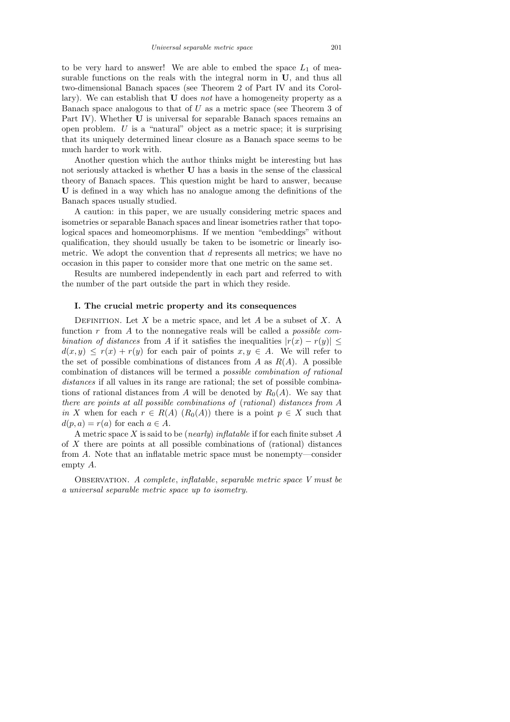to be very hard to answer! We are able to embed the space  $L_1$  of measurable functions on the reals with the integral norm in  $U$ , and thus all two-dimensional Banach spaces (see Theorem 2 of Part IV and its Corollary). We can establish that U does not have a homogeneity property as a Banach space analogous to that of  $U$  as a metric space (see Theorem 3 of Part IV). Whether U is universal for separable Banach spaces remains an open problem.  $U$  is a "natural" object as a metric space; it is surprising that its uniquely determined linear closure as a Banach space seems to be much harder to work with.

Another question which the author thinks might be interesting but has not seriously attacked is whether U has a basis in the sense of the classical theory of Banach spaces. This question might be hard to answer, because U is defined in a way which has no analogue among the definitions of the Banach spaces usually studied.

A caution: in this paper, we are usually considering metric spaces and isometries or separable Banach spaces and linear isometries rather that topological spaces and homeomorphisms. If we mention "embeddings" without qualification, they should usually be taken to be isometric or linearly isometric. We adopt the convention that d represents all metrics; we have no occasion in this paper to consider more that one metric on the same set.

Results are numbered independently in each part and referred to with the number of the part outside the part in which they reside.

## I. The crucial metric property and its consequences

DEFINITION. Let X be a metric space, and let A be a subset of X. A function r from A to the nonnegative reals will be called a *possible com*bination of distances from A if it satisfies the inequalities  $|r(x) - r(y)| \leq$  $d(x, y) \leq r(x) + r(y)$  for each pair of points  $x, y \in A$ . We will refer to the set of possible combinations of distances from A as  $R(A)$ . A possible combination of distances will be termed a possible combination of rational distances if all values in its range are rational; the set of possible combinations of rational distances from A will be denoted by  $R_0(A)$ . We say that there are points at all possible combinations of (rational) distances from A in X when for each  $r \in R(A)$   $(R_0(A))$  there is a point  $p \in X$  such that  $d(p, a) = r(a)$  for each  $a \in A$ .

A metric space  $X$  is said to be (*nearly*) inflatable if for each finite subset  $A$ of X there are points at all possible combinations of (rational) distances from A. Note that an inflatable metric space must be nonempty—consider empty A.

Observation. A complete, inflatable, separable metric space V must be a universal separable metric space up to isometry.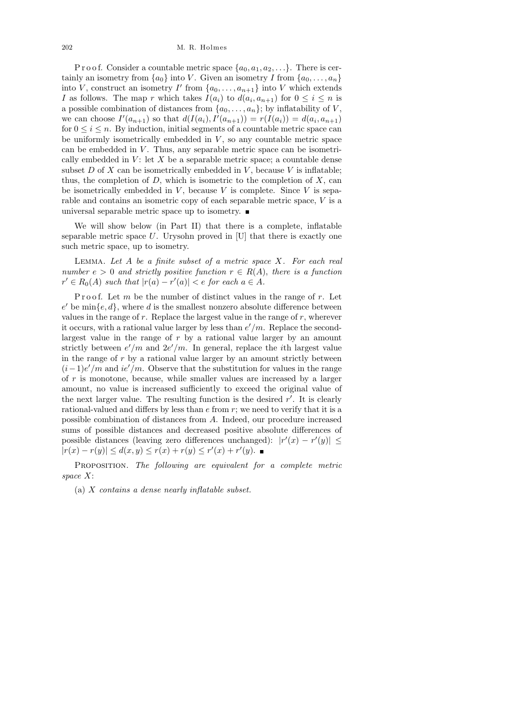#### 202 M. R. Holmes

P r o o f. Consider a countable metric space  $\{a_0, a_1, a_2, \ldots\}$ . There is certainly an isometry from  $\{a_0\}$  into V. Given an isometry I from  $\{a_0, \ldots, a_n\}$ into V, construct an isometry I' from  $\{a_0, \ldots, a_{n+1}\}\$  into V which extends I as follows. The map r which takes  $I(a_i)$  to  $d(a_i, a_{n+1})$  for  $0 \leq i \leq n$  is a possible combination of distances from  $\{a_0, \ldots, a_n\}$ ; by inflatability of V, we can choose  $I'(a_{n+1})$  so that  $d(I(a_i), I'(a_{n+1})) = r(I(a_i)) = d(a_i, a_{n+1})$ for  $0 \leq i \leq n$ . By induction, initial segments of a countable metric space can be uniformly isometrically embedded in  $V$ , so any countable metric space can be embedded in  $V$ . Thus, any separable metric space can be isometrically embedded in  $V:$  let  $X$  be a separable metric space; a countable dense subset  $D$  of  $X$  can be isometrically embedded in  $V$ , because  $V$  is inflatable; thus, the completion of  $D$ , which is isometric to the completion of  $X$ , can be isometrically embedded in  $V$ , because  $V$  is complete. Since  $V$  is separable and contains an isometric copy of each separable metric space, V is a universal separable metric space up to isometry.  $\blacksquare$ 

We will show below (in Part II) that there is a complete, inflatable separable metric space  $U$ . Urysohn proved in [U] that there is exactly one such metric space, up to isometry.

LEMMA. Let  $A$  be a finite subset of a metric space  $X$ . For each real number  $e > 0$  and strictly positive function  $r \in R(A)$ , there is a function  $r' \in R_0(A)$  such that  $|r(a) - r'(a)| < e$  for each  $a \in A$ .

P roof. Let m be the number of distinct values in the range of  $r$ . Let  $e'$  be  $\min\{e, d\}$ , where d is the smallest nonzero absolute difference between values in the range of r. Replace the largest value in the range of r, wherever it occurs, with a rational value larger by less than  $e'/m$ . Replace the secondlargest value in the range of  $r$  by a rational value larger by an amount strictly between  $e'/m$  and  $2e'/m$ . In general, replace the *i*th largest value in the range of  $r$  by a rational value larger by an amount strictly between  $(i-1)e'/m$  and  $ie'/m$ . Observe that the substitution for values in the range of r is monotone, because, while smaller values are increased by a larger amount, no value is increased sufficiently to exceed the original value of the next larger value. The resulting function is the desired  $r'$ . It is clearly rational-valued and differs by less than  $e$  from  $r$ ; we need to verify that it is a possible combination of distances from A. Indeed, our procedure increased sums of possible distances and decreased positive absolute differences of possible distances (leaving zero differences unchanged):  $|r'(x) - r'(y)| \le$  $|r(x) - r(y)| \leq d(x, y) \leq r(x) + r(y) \leq r'(x) + r'(y).$ 

PROPOSITION. The following are equivalent for a complete metric space X:

(a) X contains a dense nearly inflatable subset.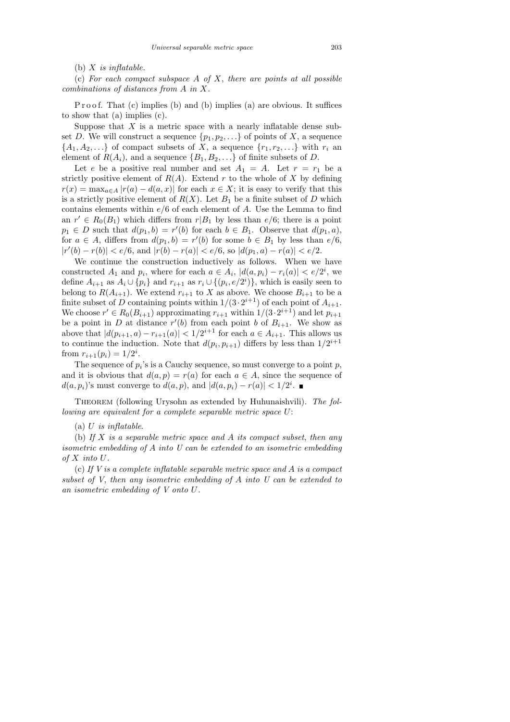(c) For each compact subspace A of X, there are points at all possible combinations of distances from A in X.

P r o o f. That (c) implies (b) and (b) implies (a) are obvious. It suffices to show that (a) implies (c).

Suppose that  $X$  is a metric space with a nearly inflatable dense subset D. We will construct a sequence  $\{p_1, p_2, \ldots\}$  of points of X, a sequence  ${A_1, A_2, \ldots}$  of compact subsets of X, a sequence  ${r_1, r_2, \ldots}$  with  $r_i$  and element of  $R(A_i)$ , and a sequence  $\{B_1, B_2, \ldots\}$  of finite subsets of D.

Let e be a positive real number and set  $A_1 = A$ . Let  $r = r_1$  be a strictly positive element of  $R(A)$ . Extend r to the whole of X by defining  $r(x) = \max_{a \in A} |r(a) - d(a, x)|$  for each  $x \in X$ ; it is easy to verify that this is a strictly positive element of  $R(X)$ . Let  $B_1$  be a finite subset of D which contains elements within  $e/6$  of each element of A. Use the Lemma to find an  $r' \in R_0(B_1)$  which differs from  $r|B_1$  by less than  $e/6$ ; there is a point  $p_1 \in D$  such that  $d(p_1, b) = r'(b)$  for each  $b \in B_1$ . Observe that  $d(p_1, a)$ , for  $a \in A$ , differs from  $d(p_1, b) = r'(b)$  for some  $b \in B_1$  by less than  $e/6$ ,  $|r'(b) - r(b)| < e/6$ , and  $|r(b) - r(a)| < e/6$ , so  $|d(p_1, a) - r(a)| < e/2$ .

We continue the construction inductively as follows. When we have constructed  $A_1$  and  $p_i$ , where for each  $a \in A_i$ ,  $|d(a, p_i) - r_i(a)| < e/2^i$ , we define  $A_{i+1}$  as  $A_i \cup \{p_i\}$  and  $r_{i+1}$  as  $r_i \cup \{(p_i, e/2^i)\}\$ , which is easily seen to belong to  $R(A_{i+1})$ . We extend  $r_{i+1}$  to X as above. We choose  $B_{i+1}$  to be a finite subset of D containing points within  $1/(3 \cdot 2^{i+1})$  of each point of  $A_{i+1}$ . We choose  $r' \in R_0(B_{i+1})$  approximating  $r_{i+1}$  within  $1/(3 \cdot 2^{i+1})$  and let  $p_{i+1}$ be a point in D at distance  $r'(b)$  from each point b of  $B_{i+1}$ . We show as above that  $|d(p_{i+1}, a) - r_{i+1}(a)| < 1/2^{i+1}$  for each  $a \in A_{i+1}$ . This allows us to continue the induction. Note that  $d(p_i, p_{i+1})$  differs by less than  $1/2^{i+1}$ from  $r_{i+1}(p_i) = 1/2^i$ .

The sequence of  $p_i$ 's is a Cauchy sequence, so must converge to a point  $p$ , and it is obvious that  $d(a, p) = r(a)$  for each  $a \in A$ , since the sequence of  $d(a, p_i)$ 's must converge to  $d(a, p)$ , and  $|d(a, p_i) - r(a)| < 1/2^i$ .

THEOREM (following Urysohn as extended by Huhunaishvili). The following are equivalent for a complete separable metric space U:

 $(a)$  U is inflatable.

(b) If X is a separable metric space and A its compact subset, then any isometric embedding of A into U can be extended to an isometric embedding of  $X$  into  $U$ .

(c) If V is a complete inflatable separable metric space and A is a compact subset of V, then any isometric embedding of A into U can be extended to an isometric embedding of V onto U.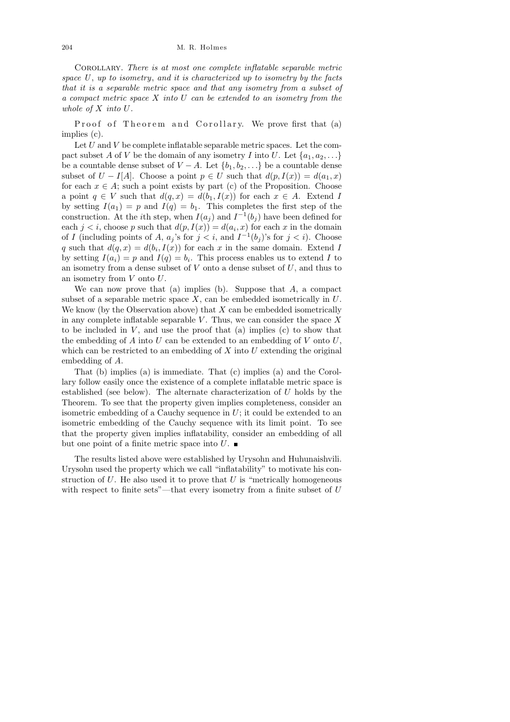Corollary. There is at most one complete inflatable separable metric space  $U$ , up to isometry, and it is characterized up to isometry by the facts that it is a separable metric space and that any isometry from a subset of a compact metric space  $X$  into  $U$  can be extended to an isometry from the whole of X into U.

Proof of Theorem and Corollary. We prove first that (a) implies (c).

Let  $U$  and  $V$  be complete inflatable separable metric spaces. Let the compact subset A of V be the domain of any isometry I into U. Let  $\{a_1, a_2, \ldots\}$ be a countable dense subset of  $V - A$ . Let  $\{b_1, b_2, \ldots\}$  be a countable dense subset of  $U - I[A]$ . Choose a point  $p \in U$  such that  $d(p, I(x)) = d(a_1, x)$ for each  $x \in A$ ; such a point exists by part (c) of the Proposition. Choose a point  $q \in V$  such that  $d(q, x) = d(b_1, I(x))$  for each  $x \in A$ . Extend I by setting  $I(a_1) = p$  and  $I(q) = b_1$ . This completes the first step of the construction. At the *i*th step, when  $I(a_j)$  and  $I^{-1}(b_j)$  have been defined for each  $j < i$ , choose p such that  $d(p, I(x)) = d(a_i, x)$  for each x in the domain of I (including points of A,  $a_j$ 's for  $j < i$ , and  $I^{-1}(b_j)$ 's for  $j < i$ ). Choose q such that  $d(q, x) = d(b_i, I(x))$  for each x in the same domain. Extend I by setting  $I(a_i) = p$  and  $I(q) = b_i$ . This process enables us to extend I to an isometry from a dense subset of  $V$  onto a dense subset of  $U$ , and thus to an isometry from  $V$  onto  $U$ .

We can now prove that (a) implies (b). Suppose that  $A$ , a compact subset of a separable metric space  $X$ , can be embedded isometrically in  $U$ . We know (by the Observation above) that  $X$  can be embedded isometrically in any complete inflatable separable  $V$ . Thus, we can consider the space X to be included in  $V$ , and use the proof that (a) implies (c) to show that the embedding of  $A$  into  $U$  can be extended to an embedding of  $V$  onto  $U$ , which can be restricted to an embedding of  $X$  into  $U$  extending the original embedding of A.

That (b) implies (a) is immediate. That (c) implies (a) and the Corollary follow easily once the existence of a complete inflatable metric space is established (see below). The alternate characterization of U holds by the Theorem. To see that the property given implies completeness, consider an isometric embedding of a Cauchy sequence in  $U$ ; it could be extended to an isometric embedding of the Cauchy sequence with its limit point. To see that the property given implies inflatability, consider an embedding of all but one point of a finite metric space into  $U$ .

The results listed above were established by Urysohn and Huhunaishvili. Urysohn used the property which we call "inflatability" to motivate his construction of  $U$ . He also used it to prove that  $U$  is "metrically homogeneous with respect to finite sets"—that every isometry from a finite subset of U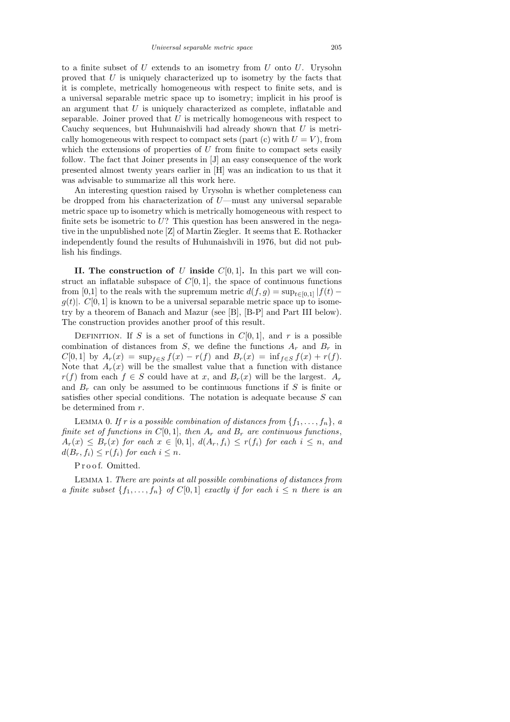to a finite subset of  $U$  extends to an isometry from  $U$  onto  $U$ . Urysohn proved that  $U$  is uniquely characterized up to isometry by the facts that it is complete, metrically homogeneous with respect to finite sets, and is a universal separable metric space up to isometry; implicit in his proof is an argument that  $U$  is uniquely characterized as complete, inflatable and separable. Joiner proved that  $U$  is metrically homogeneous with respect to Cauchy sequences, but Huhunaishvili had already shown that  $U$  is metrically homogeneous with respect to compact sets (part (c) with  $U = V$ ), from which the extensions of properties of  $U$  from finite to compact sets easily follow. The fact that Joiner presents in [J] an easy consequence of the work presented almost twenty years earlier in [H] was an indication to us that it was advisable to summarize all this work here.

An interesting question raised by Urysohn is whether completeness can be dropped from his characterization of  $U$ —must any universal separable metric space up to isometry which is metrically homogeneous with respect to finite sets be isometric to  $U$ ? This question has been answered in the negative in the unpublished note [Z] of Martin Ziegler. It seems that E. Rothacker independently found the results of Huhunaishvili in 1976, but did not publish his findings.

II. The construction of U inside  $C[0, 1]$ . In this part we will construct an inflatable subspace of  $C[0, 1]$ , the space of continuous functions from [0,1] to the reals with the supremum metric  $d(f, g) = \sup_{t \in [0,1]} |f(t)$  $g(t)$ .  $C[0, 1]$  is known to be a universal separable metric space up to isometry by a theorem of Banach and Mazur (see [B], [B-P] and Part III below). The construction provides another proof of this result.

DEFINITION. If S is a set of functions in  $C[0, 1]$ , and r is a possible combination of distances from  $S$ , we define the functions  $A_r$  and  $B_r$  in  $C[0, 1]$  by  $A_r(x) = \sup_{f \in S} f(x) - r(f)$  and  $B_r(x) = \inf_{f \in S} f(x) + r(f)$ . Note that  $A_r(x)$  will be the smallest value that a function with distance  $r(f)$  from each  $f \in S$  could have at x, and  $B_r(x)$  will be the largest.  $A_r$ and  $B_r$  can only be assumed to be continuous functions if S is finite or satisfies other special conditions. The notation is adequate because  $S$  can be determined from r.

LEMMA 0. If r is a possible combination of distances from  $\{f_1, \ldots, f_n\}$ , a finite set of functions in C[0,1], then  $A_r$  and  $B_r$  are continuous functions,  $A_r(x) \leq B_r(x)$  for each  $x \in [0,1]$ ,  $d(A_r, f_i) \leq r(f_i)$  for each  $i \leq n$ , and  $d(B_r, f_i) \leq r(f_i)$  for each  $i \leq n$ .

## P r o o f. Omitted.

Lemma 1. There are points at all possible combinations of distances from a finite subset  $\{f_1, \ldots, f_n\}$  of  $C[0,1]$  exactly if for each  $i \leq n$  there is an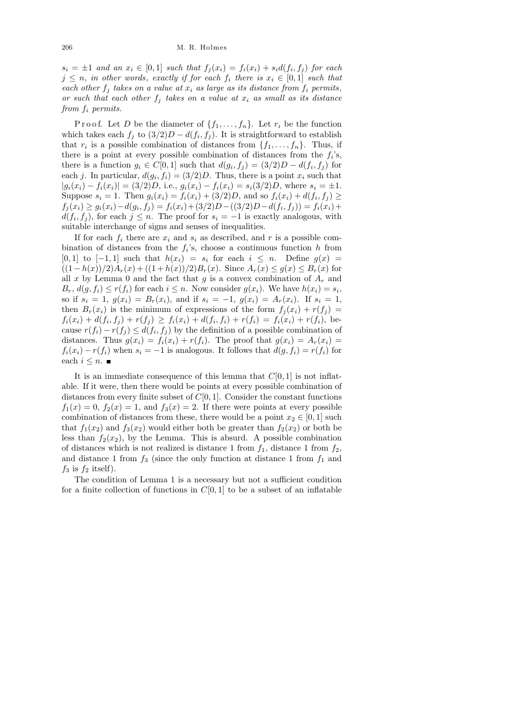$s_i = \pm 1$  and an  $x_i \in [0,1]$  such that  $f_j(x_i) = f_i(x_i) + s_i d(f_i, f_j)$  for each  $j \leq n$ , in other words, exactly if for each  $f_i$  there is  $x_i \in [0,1]$  such that each other  $f_i$  takes on a value at  $x_i$  as large as its distance from  $f_i$  permits, or such that each other  $f_i$  takes on a value at  $x_i$  as small as its distance from  $f_i$  permits.

P r o o f. Let D be the diameter of  $\{f_1, \ldots, f_n\}$ . Let  $r_i$  be the function which takes each  $f_j$  to  $(3/2)D - d(f_i, f_j)$ . It is straightforward to establish that  $r_i$  is a possible combination of distances from  $\{f_1, \ldots, f_n\}$ . Thus, if there is a point at every possible combination of distances from the  $f_i$ 's, there is a function  $g_i \in C[0,1]$  such that  $d(g_i, f_j) = (3/2)D - d(f_i, f_j)$  for each j. In particular,  $d(g_i, f_i) = (3/2)D$ . Thus, there is a point  $x_i$  such that  $|g_i(x_i) - f_i(x_i)| = (3/2)D$ , i.e.,  $g_i(x_i) - f_i(x_i) = s_i(3/2)D$ , where  $s_i = \pm 1$ . Suppose  $s_i = 1$ . Then  $g_i(x_i) = f_i(x_i) + (3/2)D$ , and so  $f_i(x_i) + d(f_i, f_j) \ge$  $f_j(x_i) \ge g_i(x_i) - d(g_i, f_j) = f_i(x_i) + (3/2)D - ((3/2)D - d(f_i, f_j)) = f_i(x_i) +$  $d(f_i, f_j)$ , for each  $j \leq n$ . The proof for  $s_i = -1$  is exactly analogous, with suitable interchange of signs and senses of inequalities.

If for each  $f_i$  there are  $x_i$  and  $s_i$  as described, and r is a possible combination of distances from the  $f_i$ 's, choose a continuous function h from [0, 1] to  $[-1, 1]$  such that  $h(x_i) = s_i$  for each  $i \leq n$ . Define  $g(x) =$  $((1-h(x))/2)A_r(x) + ((1+h(x))/2)B_r(x)$ . Since  $A_r(x) \leq g(x) \leq B_r(x)$  for all x by Lemma 0 and the fact that g is a convex combination of  $A_r$  and  $B_r$ ,  $d(g, f_i) \leq r(f_i)$  for each  $i \leq n$ . Now consider  $g(x_i)$ . We have  $h(x_i) = s_i$ , so if  $s_i = 1$ ,  $g(x_i) = B_r(x_i)$ , and if  $s_i = -1$ ,  $g(x_i) = A_r(x_i)$ . If  $s_i = 1$ , then  $B_r(x_i)$  is the minimum of expressions of the form  $f_i(x_i) + r(f_i) =$  $f_i(x_i) + d(f_i, f_j) + r(f_j) \geq f_i(x_i) + d(f_i, f_i) + r(f_i) = f_i(x_i) + r(f_i)$ , because  $r(f_i) - r(f_j) \leq d(f_i, f_j)$  by the definition of a possible combination of distances. Thus  $g(x_i) = f_i(x_i) + r(f_i)$ . The proof that  $g(x_i) = A_r(x_i)$  $f_i(x_i) - r(f_i)$  when  $s_i = -1$  is analogous. It follows that  $d(g, f_i) = r(f_i)$  for each  $i \leq n$ .

It is an immediate consequence of this lemma that  $C[0, 1]$  is not inflatable. If it were, then there would be points at every possible combination of distances from every finite subset of  $C[0, 1]$ . Consider the constant functions  $f_1(x) = 0$ ,  $f_2(x) = 1$ , and  $f_3(x) = 2$ . If there were points at every possible combination of distances from these, there would be a point  $x_2 \in [0,1]$  such that  $f_1(x_2)$  and  $f_3(x_2)$  would either both be greater than  $f_2(x_2)$  or both be less than  $f_2(x_2)$ , by the Lemma. This is absurd. A possible combination of distances which is not realized is distance 1 from  $f_1$ , distance 1 from  $f_2$ , and distance 1 from  $f_3$  (since the only function at distance 1 from  $f_1$  and  $f_3$  is  $f_2$  itself).

The condition of Lemma 1 is a necessary but not a sufficient condition for a finite collection of functions in  $C[0, 1]$  to be a subset of an inflatable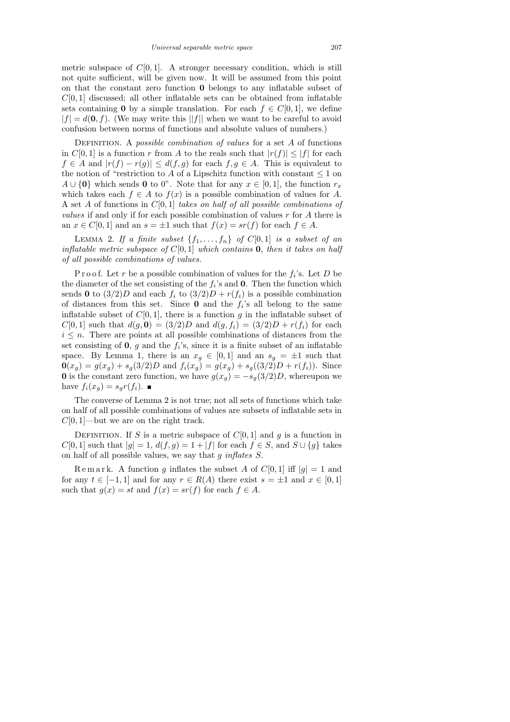metric subspace of  $C[0, 1]$ . A stronger necessary condition, which is still not quite sufficient, will be given now. It will be assumed from this point on that the constant zero function 0 belongs to any inflatable subset of  $C[0, 1]$  discussed; all other inflatable sets can be obtained from inflatable sets containing 0 by a simple translation. For each  $f \in C[0, 1]$ , we define  $|f| = d(0, f)$ . (We may write this ||f|| when we want to be careful to avoid confusion between norms of functions and absolute values of numbers.)

DEFINITION. A *possible combination of values* for a set  $A$  of functions in  $C[0,1]$  is a function r from A to the reals such that  $|r(f)| \leq |f|$  for each  $f \in A$  and  $|r(f) - r(g)| \leq d(f, g)$  for each  $f, g \in A$ . This is equivalent to the notion of "restriction to A of a Lipschitz function with constant  $\leq 1$  on A ∪ {0} which sends 0 to 0". Note that for any  $x \in [0,1]$ , the function  $r_x$ which takes each  $f \in A$  to  $f(x)$  is a possible combination of values for A. A set A of functions in  $C[0, 1]$  takes on half of all possible combinations of *values* if and only if for each possible combination of values  $r$  for  $A$  there is an  $x \in C[0,1]$  and an  $s = \pm 1$  such that  $f(x) = sr(f)$  for each  $f \in A$ .

LEMMA 2. If a finite subset  $\{f_1, \ldots, f_n\}$  of  $C[0,1]$  is a subset of an inflatable metric subspace of  $C[0,1]$  which contains **0**, then it takes on half of all possible combinations of values.

P r o o f. Let r be a possible combination of values for the  $f_i$ 's. Let D be the diameter of the set consisting of the  $f_i$ 's and **0**. Then the function which sends 0 to  $(3/2)D$  and each  $f_i$  to  $(3/2)D + r(f_i)$  is a possible combination of distances from this set. Since  $\mathbf 0$  and the  $f_i$ 's all belong to the same inflatable subset of  $C[0, 1]$ , there is a function g in the inflatable subset of  $C[0, 1]$  such that  $d(g, 0) = (3/2)D$  and  $d(g, f_i) = (3/2)D + r(f_i)$  for each  $i \leq n$ . There are points at all possible combinations of distances from the set consisting of  $\mathbf{0}$ , g and the  $f_i$ 's, since it is a finite subset of an inflatable space. By Lemma 1, there is an  $x_g \in [0,1]$  and an  $s_g = \pm 1$  such that  $\mathbf{0}(x_g) = g(x_g) + s_g(3/2)D$  and  $f_i(x_g) = g(x_g) + s_g((3/2)D + r(f_i)).$  Since 0 is the constant zero function, we have  $g(x_q) = -s_q(3/2)D$ , whereupon we have  $f_i(x_q) = s_q r(f_i)$ .

The converse of Lemma 2 is not true; not all sets of functions which take on half of all possible combinations of values are subsets of inflatable sets in  $C[0, 1]$ —but we are on the right track.

DEFINITION. If S is a metric subspace of  $C[0, 1]$  and g is a function in  $C[0, 1]$  such that  $|g| = 1$ ,  $d(f, g) = 1 + |f|$  for each  $f \in S$ , and  $S \cup \{g\}$  takes on half of all possible values, we say that  $g$  inflates  $S$ .

Remark. A function g inflates the subset A of  $C[0,1]$  iff  $|g|=1$  and for any  $t \in [-1,1]$  and for any  $r \in R(A)$  there exist  $s = \pm 1$  and  $x \in [0,1]$ such that  $g(x) = st$  and  $f(x) = sr(f)$  for each  $f \in A$ .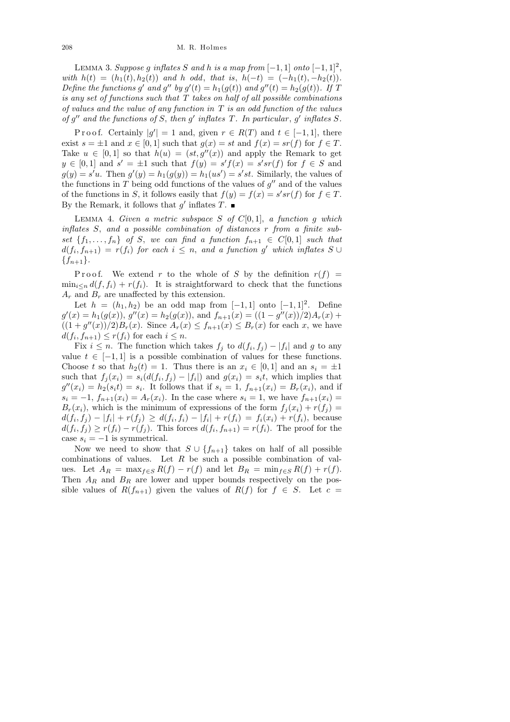LEMMA 3. Suppose g inflates S and h is a map from  $[-1, 1]$  onto  $[-1, 1]^2$ , with  $h(t) = (h_1(t), h_2(t))$  and h odd, that is,  $h(-t) = (-h_1(t), -h_2(t))$ . Define the functions g' and g'' by  $g'(t) = h_1(g(t))$  and  $g''(t) = h_2(g(t))$ . If T is any set of functions such that  $T$  takes on half of all possible combinations of values and the value of any function in  $T$  is an odd function of the values of  $g''$  and the functions of S, then  $g'$  inflates T. In particular,  $g'$  inflates S.

P r o o f. Certainly  $|g'| = 1$  and, given  $r \in R(T)$  and  $t \in [-1, 1]$ , there exist  $s = \pm 1$  and  $x \in [0, 1]$  such that  $g(x) = st$  and  $f(x) = sr(f)$  for  $f \in T$ . Take  $u \in [0,1]$  so that  $h(u) = (st, g''(x))$  and apply the Remark to get  $y \in [0,1]$  and  $s' = \pm 1$  such that  $f(y) = s'f(x) = s'sr(f)$  for  $f \in S$  and  $g(y) = s'u$ . Then  $g'(y) = h_1(g(y)) = h_1(us') = s'st$ . Similarly, the values of the functions in T being odd functions of the values of  $g''$  and of the values of the functions in S, it follows easily that  $f(y) = f(x) = s'sr(f)$  for  $f \in T$ . By the Remark, it follows that  $g'$  inflates  $T$ .

LEMMA 4. Given a metric subspace  $S$  of  $C[0,1]$ , a function  $g$  which inflates S, and a possible combination of distances r from a finite subset  $\{f_1, \ldots, f_n\}$  of S, we can find a function  $f_{n+1} \in C[0,1]$  such that  $d(f_i, f_{n+1}) = r(f_i)$  for each  $i \leq n$ , and a function g' which inflates  $S \cup$  ${f_{n+1}}.$ 

P r o o f. We extend r to the whole of S by the definition  $r(f)$  =  $\min_{i\leq n} d(f, f_i) + r(f_i)$ . It is straightforward to check that the functions  $A_r$  and  $B_r$  are unaffected by this extension.

Let  $h = (h_1, h_2)$  be an odd map from  $[-1, 1]$  onto  $[-1, 1]^2$ . Define  $g'(x) = h_1(g(x)),$   $g''(x) = h_2(g(x)),$  and  $f_{n+1}(x) = ((1 - g''(x))/2)A_r(x) +$  $((1+g''(x))/2)B_r(x)$ . Since  $A_r(x) \le f_{n+1}(x) \le B_r(x)$  for each x, we have  $d(f_i, f_{n+1}) \leq r(f_i)$  for each  $i \leq n$ .

Fix  $i \leq n$ . The function which takes  $f_j$  to  $d(f_i, f_j) - |f_i|$  and g to any value  $t \in [-1, 1]$  is a possible combination of values for these functions. Choose t so that  $h_2(t) = 1$ . Thus there is an  $x_i \in [0,1]$  and an  $s_i = \pm 1$ such that  $f_j(x_i) = s_i(d(f_i, f_j) - |f_i|)$  and  $g(x_i) = s_i t$ , which implies that  $g''(x_i) = h_2(s_i t) = s_i$ . It follows that if  $s_i = 1$ ,  $f_{n+1}(x_i) = B_r(x_i)$ , and if  $s_i = -1$ ,  $f_{n+1}(x_i) = A_r(x_i)$ . In the case where  $s_i = 1$ , we have  $f_{n+1}(x_i) =$  $B_r(x_i)$ , which is the minimum of expressions of the form  $f_j(x_i) + r(f_j) =$  $d(f_i, f_j) - |f_i| + r(f_j) \geq d(f_i, f_i) - |f_i| + r(f_i) = f_i(x_i) + r(f_i)$ , because  $d(f_i, f_j) \ge r(f_i) - r(f_j)$ . This forces  $d(f_i, f_{n+1}) = r(f_i)$ . The proof for the case  $s_i = -1$  is symmetrical.

Now we need to show that  $S \cup \{f_{n+1}\}\$  takes on half of all possible combinations of values. Let  $R$  be such a possible combination of values. Let  $A_R = \max_{f \in S} R(f) - r(f)$  and let  $B_R = \min_{f \in S} R(f) + r(f)$ . Then  $A_R$  and  $B_R$  are lower and upper bounds respectively on the possible values of  $R(f_{n+1})$  given the values of  $R(f)$  for  $f \in S$ . Let  $c =$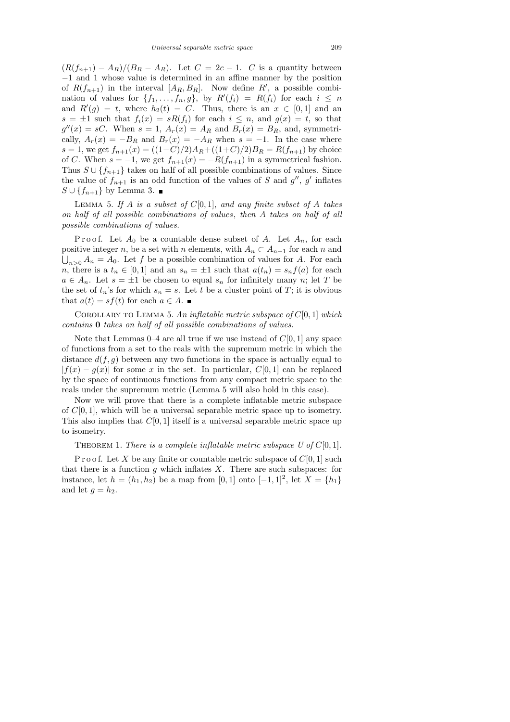$(R(f_{n+1}) - A_R)/(B_R - A_R)$ . Let  $C = 2c - 1$ . C is a quantity between −1 and 1 whose value is determined in an affine manner by the position of  $R(f_{n+1})$  in the interval  $[A_R, B_R]$ . Now define  $R'$ , a possible combination of values for  $\{f_1, \ldots, f_n, g\}$ , by  $R'(f_i) = R(f_i)$  for each  $i \leq n$ and  $R'(g) = t$ , where  $h_2(t) = C$ . Thus, there is an  $x \in [0,1]$  and an  $s = \pm 1$  such that  $f_i(x) = sR(f_i)$  for each  $i \leq n$ , and  $g(x) = t$ , so that  $g''(x) = sC$ . When  $s = 1$ ,  $A_r(x) = A_R$  and  $B_r(x) = B_R$ , and, symmetrically,  $A_r(x) = -B_R$  and  $B_r(x) = -A_R$  when  $s = -1$ . In the case where s = 1, we get  $f_{n+1}(x) = ((1-C)/2)A_R + ((1+C)/2)B_R = R(f_{n+1})$  by choice of C. When  $s = -1$ , we get  $f_{n+1}(x) = -R(f_{n+1})$  in a symmetrical fashion. Thus  $S \cup \{f_{n+1}\}\$  takes on half of all possible combinations of values. Since the value of  $f_{n+1}$  is an odd function of the values of S and  $g''$ , g' inflates  $S \cup \{f_{n+1}\}\$  by Lemma 3. ■

LEMMA 5. If A is a subset of  $C[0, 1]$ , and any finite subset of A takes on half of all possible combinations of values, then A takes on half of all possible combinations of values.

P r o o f. Let  $A_0$  be a countable dense subset of A. Let  $A_n$ , for each positive integer n, be a set with n elements, with  $A_n \subset A_{n+1}$  for each n and  $\bigcup_{n>0} A_n = A_0$ . Let f be a possible combination of values for A. For each n, there is a  $t_n \in [0,1]$  and an  $s_n = \pm 1$  such that  $a(t_n) = s_n f(a)$  for each  $a \in A_n$ . Let  $s = \pm 1$  be chosen to equal  $s_n$  for infinitely many n; let T be the set of  $t_n$ 's for which  $s_n = s$ . Let t be a cluster point of T; it is obvious that  $a(t) = sf(t)$  for each  $a \in A$ .

COROLLARY TO LEMMA 5. An inflatable metric subspace of  $C[0, 1]$  which contains 0 takes on half of all possible combinations of values.

Note that Lemmas  $0-4$  are all true if we use instead of  $C[0, 1]$  any space of functions from a set to the reals with the supremum metric in which the distance  $d(f, g)$  between any two functions in the space is actually equal to  $|f(x) - g(x)|$  for some x in the set. In particular,  $C[0, 1]$  can be replaced by the space of continuous functions from any compact metric space to the reals under the supremum metric (Lemma 5 will also hold in this case).

Now we will prove that there is a complete inflatable metric subspace of  $C[0, 1]$ , which will be a universal separable metric space up to isometry. This also implies that  $C[0, 1]$  itself is a universal separable metric space up to isometry.

### THEOREM 1. There is a complete inflatable metric subspace U of  $C[0, 1]$ .

P r o o f. Let X be any finite or countable metric subspace of  $C[0, 1]$  such that there is a function g which inflates  $X$ . There are such subspaces: for instance, let  $h = (h_1, h_2)$  be a map from  $[0, 1]$  onto  $[-1, 1]^2$ , let  $X = \{h_1\}$ and let  $g = h_2$ .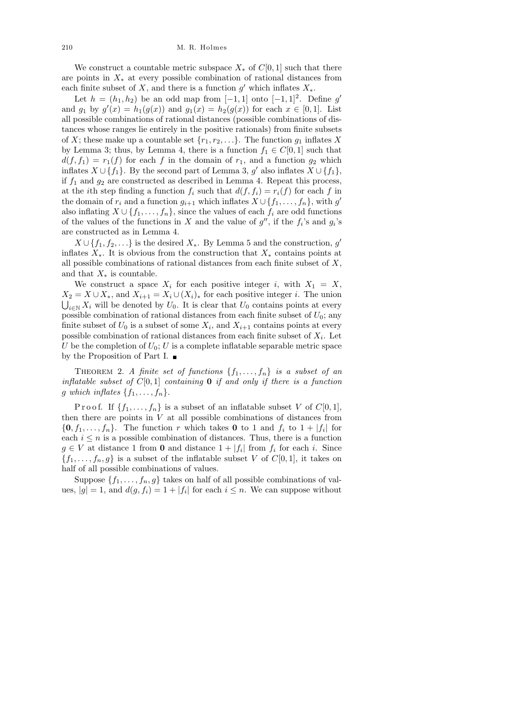We construct a countable metric subspace  $X_*$  of  $C[0, 1]$  such that there are points in  $X_*$  at every possible combination of rational distances from each finite subset of X, and there is a function  $g'$  which inflates  $X_*$ .

Let  $h = (h_1, h_2)$  be an odd map from  $[-1, 1]$  onto  $[-1, 1]^2$ . Define g' and  $g_1$  by  $g'(x) = h_1(g(x))$  and  $g_1(x) = h_2(g(x))$  for each  $x \in [0,1]$ . List all possible combinations of rational distances (possible combinations of distances whose ranges lie entirely in the positive rationals) from finite subsets of X; these make up a countable set  $\{r_1, r_2, \ldots\}$ . The function  $g_1$  inflates X by Lemma 3; thus, by Lemma 4, there is a function  $f_1 \in C[0,1]$  such that  $d(f, f_1) = r_1(f)$  for each f in the domain of  $r_1$ , and a function  $g_2$  which inflates  $X \cup \{f_1\}$ . By the second part of Lemma 3, g' also inflates  $X \cup \{f_1\}$ , if  $f_1$  and  $g_2$  are constructed as described in Lemma 4. Repeat this process, at the *i*th step finding a function  $f_i$  such that  $d(f, f_i) = r_i(f)$  for each f in the domain of  $r_i$  and a function  $g_{i+1}$  which inflates  $X \cup \{f_1, \ldots, f_n\}$ , with  $g'$ also inflating  $X \cup \{f_1, \ldots, f_n\}$ , since the values of each  $f_i$  are odd functions of the values of the functions in X and the value of  $g''$ , if the  $f_i$ 's and  $g_i$ 's are constructed as in Lemma 4.

 $X \cup \{f_1, f_2, \ldots\}$  is the desired  $X_*$ . By Lemma 5 and the construction, g' inflates  $X_*$ . It is obvious from the construction that  $X_*$  contains points at all possible combinations of rational distances from each finite subset of  $X$ , and that  $X_*$  is countable.

We construct a space  $X_i$  for each positive integer i, with  $X_1 = X$ ,  $X_2 = X \cup X_*$ , and  $X_{i+1} = X_i \cup (X_i)_*$  for each positive integer *i*. The union  $\bigcup_{i\in\mathbb{N}} X_i$  will be denoted by  $U_0$ . It is clear that  $U_0$  contains points at every possible combination of rational distances from each finite subset of  $U_0$ ; any finite subset of  $U_0$  is a subset of some  $X_i$ , and  $X_{i+1}$  contains points at every possible combination of rational distances from each finite subset of  $X_i$ . Let U be the completion of  $U_0$ ; U is a complete inflatable separable metric space by the Proposition of Part I.

THEOREM 2. A finite set of functions  $\{f_1, \ldots, f_n\}$  is a subset of an inflatable subset of  $C[0, 1]$  containing **0** if and only if there is a function g which inflates  $\{f_1, \ldots, f_n\}$ .

P r o o f. If  $\{f_1, \ldots, f_n\}$  is a subset of an inflatable subset V of  $C[0,1]$ , then there are points in  $V$  at all possible combinations of distances from  $\{0, f_1, \ldots, f_n\}$ . The function r which takes 0 to 1 and  $f_i$  to  $1 + |f_i|$  for each  $i \leq n$  is a possible combination of distances. Thus, there is a function  $g \in V$  at distance 1 from 0 and distance  $1 + |f_i|$  from  $f_i$  for each i. Since  ${f_1, \ldots, f_n, g}$  is a subset of the inflatable subset V of  $C[0, 1]$ , it takes on half of all possible combinations of values.

Suppose  $\{f_1, \ldots, f_n, g\}$  takes on half of all possible combinations of values,  $|g| = 1$ , and  $d(g, f_i) = 1 + |f_i|$  for each  $i \leq n$ . We can suppose without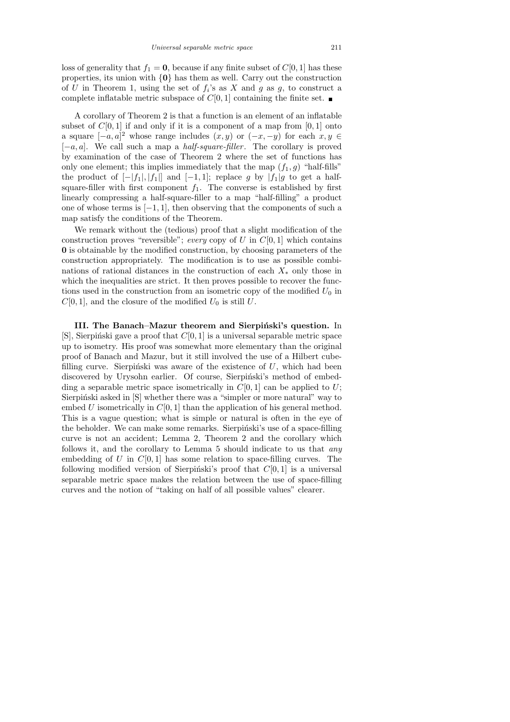loss of generality that  $f_1 = 0$ , because if any finite subset of  $C[0, 1]$  has these properties, its union with  $\{0\}$  has them as well. Carry out the construction of U in Theorem 1, using the set of  $f_i$ 's as X and g as g, to construct a complete inflatable metric subspace of  $C[0, 1]$  containing the finite set.

A corollary of Theorem 2 is that a function is an element of an inflatable subset of  $C[0, 1]$  if and only if it is a component of a map from  $[0, 1]$  onto a square  $[-a, a]^2$  whose range includes  $(x, y)$  or  $(-x, -y)$  for each  $x, y \in$  $[-a, a]$ . We call such a map a *half-square-filler*. The corollary is proved by examination of the case of Theorem 2 where the set of functions has only one element; this implies immediately that the map  $(f_1, g)$  "half-fills" the product of  $[-|f_1|, |f_1|]$  and  $[-1, 1]$ ; replace g by  $|f_1|$ g to get a halfsquare-filler with first component  $f_1$ . The converse is established by first linearly compressing a half-square-filler to a map "half-filling" a product one of whose terms is  $[-1, 1]$ , then observing that the components of such a map satisfy the conditions of the Theorem.

We remark without the (tedious) proof that a slight modification of the construction proves "reversible"; every copy of U in  $C[0, 1]$  which contains 0 is obtainable by the modified construction, by choosing parameters of the construction appropriately. The modification is to use as possible combinations of rational distances in the construction of each  $X_*$  only those in which the inequalities are strict. It then proves possible to recover the functions used in the construction from an isometric copy of the modified  $U_0$  in  $C[0, 1]$ , and the closure of the modified  $U_0$  is still U.

III. The Banach–Mazur theorem and Sierpiński's question. In [S], Sierpiński gave a proof that  $C[0, 1]$  is a universal separable metric space up to isometry. His proof was somewhat more elementary than the original proof of Banach and Mazur, but it still involved the use of a Hilbert cubefilling curve. Sierpinski was aware of the existence of  $U$ , which had been discovered by Urysohn earlier. Of course, Sierpingski's method of embedding a separable metric space isometrically in  $C[0, 1]$  can be applied to U; Sierpiński asked in [S] whether there was a "simpler or more natural" way to embed U isometrically in  $C[0, 1]$  than the application of his general method. This is a vague question; what is simple or natural is often in the eye of the beholder. We can make some remarks. Sierpinski's use of a space-filling curve is not an accident; Lemma 2, Theorem 2 and the corollary which follows it, and the corollary to Lemma 5 should indicate to us that any embedding of U in  $C[0, 1]$  has some relation to space-filling curves. The following modified version of Sierpinski's proof that  $C[0, 1]$  is a universal separable metric space makes the relation between the use of space-filling curves and the notion of "taking on half of all possible values" clearer.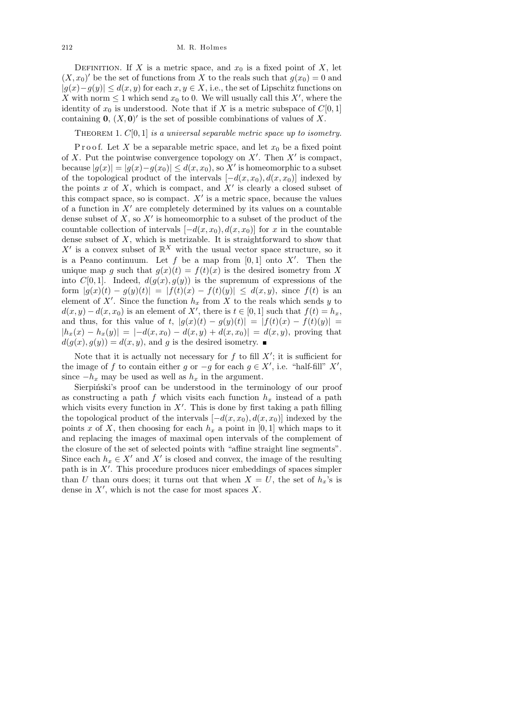DEFINITION. If X is a metric space, and  $x_0$  is a fixed point of X, let  $(X, x_0)'$  be the set of functions from X to the reals such that  $g(x_0) = 0$  and  $|g(x)-g(y)| \leq d(x,y)$  for each  $x, y \in X$ , i.e., the set of Lipschitz functions on X with norm  $\leq 1$  which send  $x_0$  to 0. We will usually call this X', where the identity of  $x_0$  is understood. Note that if X is a metric subspace of  $C[0, 1]$ containing  $\mathbf{0}, (X, \mathbf{0})'$  is the set of possible combinations of values of X.

THEOREM 1.  $C[0, 1]$  is a universal separable metric space up to isometry.

Proof. Let X be a separable metric space, and let  $x_0$  be a fixed point of X. Put the pointwise convergence topology on  $X'$ . Then  $X'$  is compact, because  $|g(x)| = |g(x) - g(x_0)| \le d(x, x_0)$ , so X' is homeomorphic to a subset of the topological product of the intervals  $[-d(x, x_0), d(x, x_0)]$  indexed by the points  $x$  of  $X$ , which is compact, and  $X'$  is clearly a closed subset of this compact space, so is compact.  $X'$  is a metric space, because the values of a function in  $X'$  are completely determined by its values on a countable dense subset of  $X$ , so  $X'$  is homeomorphic to a subset of the product of the countable collection of intervals  $[-d(x, x_0), d(x, x_0)]$  for x in the countable dense subset of  $X$ , which is metrizable. It is straightforward to show that X' is a convex subset of  $\mathbb{R}^X$  with the usual vector space structure, so it is a Peano continuum. Let f be a map from  $[0,1]$  onto X'. Then the unique map g such that  $g(x)(t) = f(t)(x)$  is the desired isometry from X into  $C[0, 1]$ . Indeed,  $d(g(x), g(y))$  is the supremum of expressions of the form  $|g(x)(t) - g(y)(t)| = |f(t)(x) - f(t)(y)| \le d(x, y)$ , since  $f(t)$  is an element of X'. Since the function  $h_x$  from X to the reals which sends y to  $d(x, y) - d(x, x_0)$  is an element of X', there is  $t \in [0, 1]$  such that  $f(t) = h_x$ , and thus, for this value of t,  $|g(x)(t) - g(y)(t)| = |f(t)(x) - f(t)(y)| =$  $|h_x(x) - h_x(y)| = |-d(x, x_0) - d(x, y) + d(x, x_0)| = d(x, y)$ , proving that  $d(g(x), g(y)) = d(x, y)$ , and g is the desired isometry.

Note that it is actually not necessary for  $f$  to fill  $X'$ ; it is sufficient for the image of f to contain either g or  $-g$  for each  $g \in X'$ , i.e. "half-fill"  $X'$ , since  $-h_x$  may be used as well as  $h_x$  in the argument.

Sierpiński's proof can be understood in the terminology of our proof as constructing a path f which visits each function  $h_x$  instead of a path which visits every function in  $X'$ . This is done by first taking a path filling the topological product of the intervals  $[-d(x, x_0), d(x, x_0)]$  indexed by the points x of X, then choosing for each  $h_x$  a point in [0, 1] which maps to it and replacing the images of maximal open intervals of the complement of the closure of the set of selected points with "affine straight line segments". Since each  $h_x \in X'$  and X' is closed and convex, the image of the resulting path is in  $X'$ . This procedure produces nicer embeddings of spaces simpler than U than ours does; it turns out that when  $X = U$ , the set of  $h_x$ 's is dense in  $X'$ , which is not the case for most spaces X.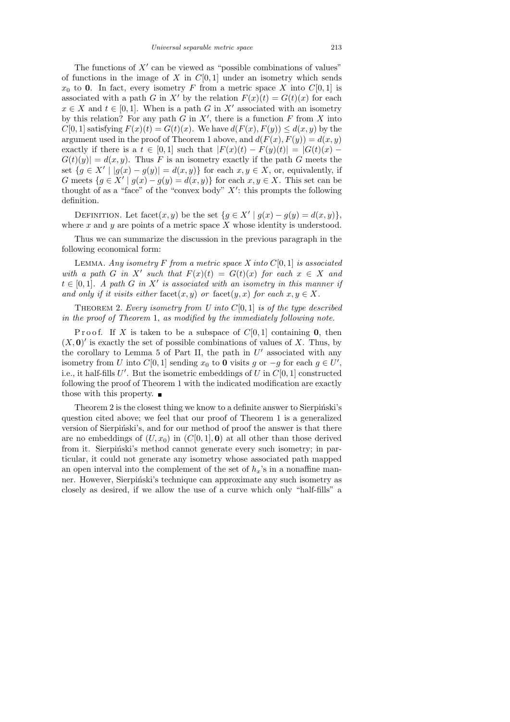The functions of  $X'$  can be viewed as "possible combinations of values" of functions in the image of X in  $C[0, 1]$  under an isometry which sends  $x_0$  to 0. In fact, every isometry F from a metric space X into  $C[0, 1]$  is associated with a path G in X' by the relation  $F(x)(t) = G(t)(x)$  for each  $x \in X$  and  $t \in [0,1]$ . When is a path G in X' associated with an isometry by this relation? For any path  $G$  in  $X'$ , there is a function  $F$  from  $X$  into  $C[0, 1]$  satisfying  $F(x)(t) = G(t)(x)$ . We have  $d(F(x), F(y)) \leq d(x, y)$  by the argument used in the proof of Theorem 1 above, and  $d(F(x), F(y)) = d(x, y)$ exactly if there is a  $t \in [0,1]$  such that  $|F(x)(t) - F(y)(t)| = |G(t)(x) G(t)(y)| = d(x, y)$ . Thus F is an isometry exactly if the path G meets the set  ${g \in X' \mid |g(x) - g(y)| = d(x, y)}$  for each  $x, y \in X$ , or, equivalently, if G meets  $\{g \in X' \mid g(x) - g(y) = d(x, y)\}\$ for each  $x, y \in X$ . This set can be thought of as a "face" of the "convex body"  $X'$ : this prompts the following definition.

DEFINITION. Let facet $(x, y)$  be the set  $\{g \in X' \mid g(x) - g(y) = d(x, y)\}\,$ where  $x$  and  $y$  are points of a metric space  $X$  whose identity is understood.

Thus we can summarize the discussion in the previous paragraph in the following economical form:

LEMMA. Any isometry F from a metric space X into  $C[0, 1]$  is associated with a path G in X' such that  $F(x)(t) = G(t)(x)$  for each  $x \in X$  and  $t \in [0,1]$ . A path G in X' is associated with an isometry in this manner if and only if it visits either facet $(x, y)$  or facet $(y, x)$  for each  $x, y \in X$ .

THEOREM 2. Every isometry from U into  $C[0, 1]$  is of the type described in the proof of Theorem 1, as modified by the immediately following note.

P r o o f. If X is taken to be a subspace of  $C[0,1]$  containing 0, then  $(X, 0)'$  is exactly the set of possible combinations of values of X. Thus, by the corollary to Lemma 5 of Part II, the path in  $U'$  associated with any isometry from U into  $C[0,1]$  sending  $x_0$  to 0 visits g or  $-g$  for each  $g \in U'$ , i.e., it half-fills  $U'$ . But the isometric embeddings of U in  $C[0, 1]$  constructed following the proof of Theorem 1 with the indicated modification are exactly those with this property.  $\blacksquare$ 

Theorem 2 is the closest thing we know to a definite answer to Sierpiński's question cited above; we feel that our proof of Theorem 1 is a generalized version of Sierpinski's, and for our method of proof the answer is that there are no embeddings of  $(U, x_0)$  in  $(C[0, 1], 0)$  at all other than those derived from it. Sierpinski's method cannot generate every such isometry; in particular, it could not generate any isometry whose associated path mapped an open interval into the complement of the set of  $h_x$ 's in a nonaffine manner. However, Sierpiński's technique can approximate any such isometry as closely as desired, if we allow the use of a curve which only "half-fills" a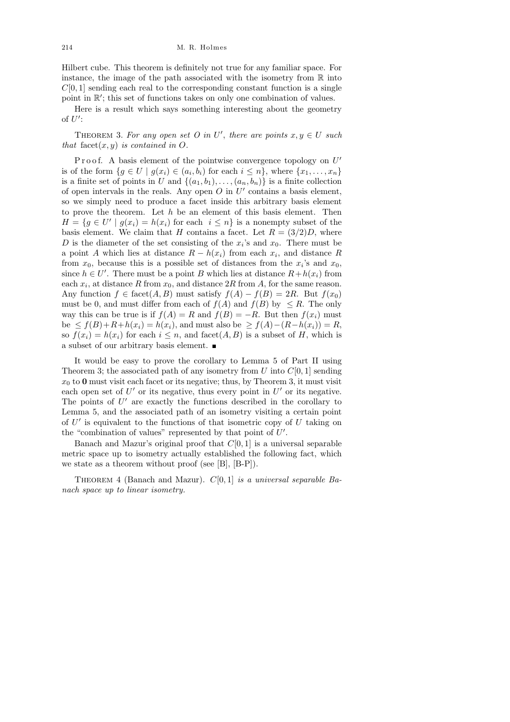Hilbert cube. This theorem is definitely not true for any familiar space. For instance, the image of the path associated with the isometry from  $\mathbb R$  into  $C[0, 1]$  sending each real to the corresponding constant function is a single point in  $\mathbb{R}'$ ; this set of functions takes on only one combination of values.

Here is a result which says something interesting about the geometry of  $U'$ :

THEOREM 3. For any open set O in U', there are points  $x, y \in U$  such that facet $(x, y)$  is contained in O.

Proof. A basis element of the pointwise convergence topology on  $U'$ is of the form  $\{g \in U \mid g(x_i) \in (a_i, b_i) \text{ for each } i \leq n\}$ , where  $\{x_1, \ldots, x_n\}$ is a finite set of points in U and  $\{(a_1,b_1),\ldots,(a_n,b_n)\}\)$  is a finite collection of open intervals in the reals. Any open  $O$  in  $U'$  contains a basis element, so we simply need to produce a facet inside this arbitrary basis element to prove the theorem. Let  $h$  be an element of this basis element. Then  $H = \{g \in U' \mid g(x_i) = h(x_i) \text{ for each } i \leq n\}$  is a nonempty subset of the basis element. We claim that H contains a facet. Let  $R = (3/2)D$ , where D is the diameter of the set consisting of the  $x_i$ 's and  $x_0$ . There must be a point A which lies at distance  $R - h(x_i)$  from each  $x_i$ , and distance R from  $x_0$ , because this is a possible set of distances from the  $x_i$ 's and  $x_0$ , since  $h \in U'$ . There must be a point B which lies at distance  $R + h(x_i)$  from each  $x_i$ , at distance R from  $x_0$ , and distance 2R from A, for the same reason. Any function  $f \in \text{facet}(A, B)$  must satisfy  $f(A) - f(B) = 2R$ . But  $f(x_0)$ must be 0, and must differ from each of  $f(A)$  and  $f(B)$  by  $\leq R$ . The only way this can be true is if  $f(A) = R$  and  $f(B) = -R$ . But then  $f(x_i)$  must be  $\leq f(B)+R+h(x_i)=h(x_i)$ , and must also be  $\geq f(A)-(R-h(x_i))=R$ , so  $f(x_i) = h(x_i)$  for each  $i \leq n$ , and facet $(A, B)$  is a subset of H, which is a subset of our arbitrary basis element.

It would be easy to prove the corollary to Lemma 5 of Part II using Theorem 3; the associated path of any isometry from U into  $C[0, 1]$  sending  $x_0$  to 0 must visit each facet or its negative; thus, by Theorem 3, it must visit each open set of  $U'$  or its negative, thus every point in  $U'$  or its negative. The points of  $U'$  are exactly the functions described in the corollary to Lemma 5, and the associated path of an isometry visiting a certain point of  $U'$  is equivalent to the functions of that isometric copy of  $U$  taking on the "combination of values" represented by that point of  $U'$ .

Banach and Mazur's original proof that  $C[0, 1]$  is a universal separable metric space up to isometry actually established the following fact, which we state as a theorem without proof (see [B], [B-P]).

THEOREM 4 (Banach and Mazur).  $C[0, 1]$  is a universal separable Banach space up to linear isometry.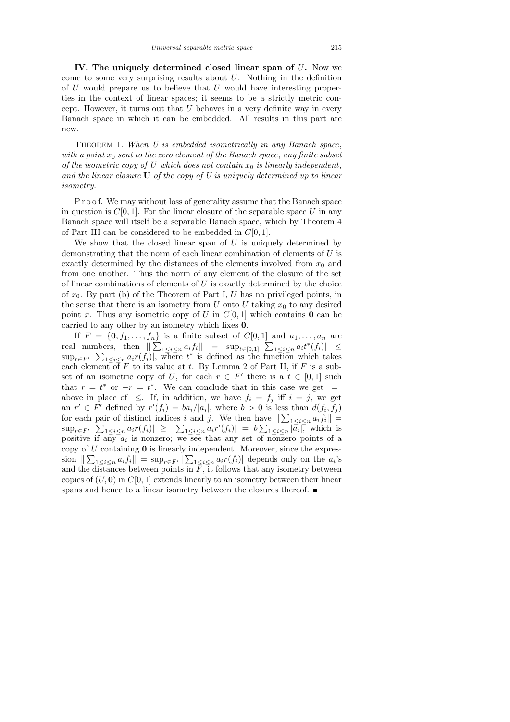IV. The uniquely determined closed linear span of U. Now we come to some very surprising results about  $U$ . Nothing in the definition of  $U$  would prepare us to believe that  $U$  would have interesting properties in the context of linear spaces; it seems to be a strictly metric concept. However, it turns out that  $U$  behaves in a very definite way in every Banach space in which it can be embedded. All results in this part are new.

THEOREM 1. When U is embedded isometrically in any Banach space, with a point  $x_0$  sent to the zero element of the Banach space, any finite subset of the isometric copy of U which does not contain  $x_0$  is linearly independent, and the linear closure  $U$  of the copy of U is uniquely determined up to linear isometry.

P r o o f. We may without loss of generality assume that the Banach space in question is  $C[0, 1]$ . For the linear closure of the separable space U in any Banach space will itself be a separable Banach space, which by Theorem 4 of Part III can be considered to be embedded in  $C[0, 1]$ .

We show that the closed linear span of  $U$  is uniquely determined by demonstrating that the norm of each linear combination of elements of  $U$  is exactly determined by the distances of the elements involved from  $x_0$  and from one another. Thus the norm of any element of the closure of the set of linear combinations of elements of  $U$  is exactly determined by the choice of  $x_0$ . By part (b) of the Theorem of Part I, U has no privileged points, in the sense that there is an isometry from U onto U taking  $x_0$  to any desired point x. Thus any isometric copy of U in  $C[0, 1]$  which contains 0 can be carried to any other by an isometry which fixes 0.

If  $F = \{0, f_1, \ldots, f_n\}$  is a finite subset of  $C[0, 1]$  and  $a_1, \ldots, a_n$  are real numbers, then  $\|\sum_{1 \leq i \leq n} a_i f_i\| = \sup_{t \in [0,1]} |\sum_{1 \leq i \leq n} a_i t^*(f_i)| \leq$  $\sup_{r \in F'} |\sum_{1 \leq i \leq n} a_i r(f_i)|$ , where  $t^*$  is defined as the function which takes each element of F to its value at t. By Lemma 2 of Part II, if F is a subset of an isometric copy of U, for each  $r \in F'$  there is a  $t \in [0,1]$  such that  $r = t^*$  or  $-r = t^*$ . We can conclude that in this case we get = above in place of  $\leq$ . If, in addition, we have  $f_i = f_j$  iff  $i = j$ , we get an  $r' \in F'$  defined by  $r'(f_i) = ba_i/|a_i|$ , where  $b > 0$  is less than  $d(f_i, f_j)$ for each pair of distinct indices i and j. We then have  $\|\sum_{1\leq i\leq n}a_if_i\|=$  $\sup_{r \in F'} |\sum_{1 \leq i \leq n} a_i r(f_i)| \geq |\sum_{1 \leq i \leq n} a_i r'(f_i)| = b \sum_{1 \leq i \leq n} |\overline{a_i}|$ , which is positive if any  $a_i$  is nonzero; we see that any set of nonzero points of a copy of  $U$  containing  $\mathbf 0$  is linearly independent. Moreover, since the expression  $\sum_{1 \leq i \leq n} a_i f_i$  =  $\sup_{r \in F'} |\sum_{1 \leq i \leq n} a_i r(f_i)|$  depends only on the  $a_i$ 's and the distances between points in  $\overline{F}$ , it follows that any isometry between copies of  $(U, 0)$  in  $C[0, 1]$  extends linearly to an isometry between their linear spans and hence to a linear isometry between the closures thereof.  $\blacksquare$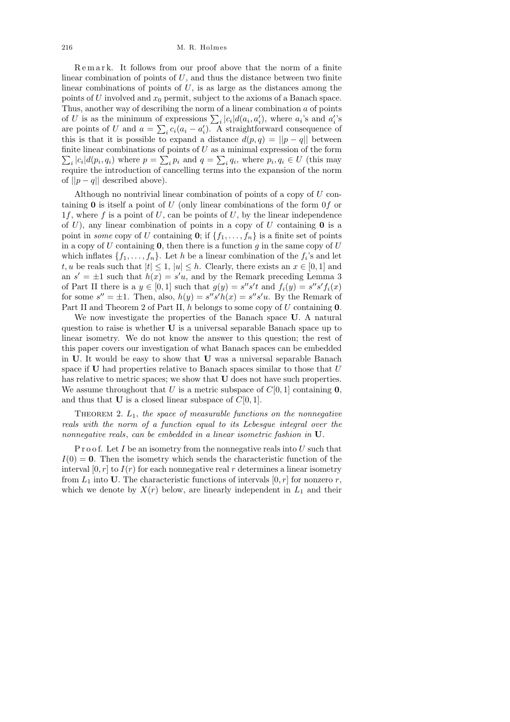Remark. It follows from our proof above that the norm of a finite linear combination of points of  $U$ , and thus the distance between two finite linear combinations of points of  $U$ , is as large as the distances among the points of U involved and  $x_0$  permit, subject to the axioms of a Banach space. Thus, another way of describing the norm of a linear combination a of points of U is as the minimum of expressions  $\sum_i |c_i| d(a_i, a'_i)$ , where  $a_i$ 's and  $a'_i$ 's are points of U and  $a = \sum_i c_i (a_i - a'_i)$ . A straightforward consequence of this is that it is possible to expand a distance  $d(p,q) = ||p-q||$  between  $\sum_i |c_i| d(p_i, q_i)$  where  $p = \sum_i p_i$  and  $q = \sum_i q_i$ , where  $p_i, q_i \in U$  (this may finite linear combinations of points of  $U$  as a minimal expression of the form require the introduction of cancelling terms into the expansion of the norm of  $||p - q||$  described above).

Although no nontrivial linear combination of points of a copy of  $U$  containing  $\bf{0}$  is itself a point of U (only linear combinations of the form  $\overline{0}$  or 1f, where f is a point of  $U$ , can be points of  $U$ , by the linear independence of  $U$ ), any linear combination of points in a copy of  $U$  containing **0** is a point in *some* copy of U containing 0; if  $\{f_1, \ldots, f_n\}$  is a finite set of points in a copy of  $U$  containing  $\mathbf{0}$ , then there is a function  $g$  in the same copy of  $U$ which inflates  $\{f_1, \ldots, f_n\}$ . Let h be a linear combination of the  $f_i$ 's and let t, u be reals such that  $|t| \leq 1$ ,  $|u| \leq h$ . Clearly, there exists an  $x \in [0,1]$  and an  $s' = \pm 1$  such that  $h(x) = s'u$ , and by the Remark preceding Lemma 3 of Part II there is a  $y \in [0,1]$  such that  $g(y) = s''s't$  and  $f_i(y) = s''s'f_i(x)$ for some  $s'' = \pm 1$ . Then, also,  $h(y) = s''s'h(x) = s''s'u$ . By the Remark of Part II and Theorem 2 of Part II, h belongs to some copy of  $U$  containing 0.

We now investigate the properties of the Banach space U. A natural question to raise is whether U is a universal separable Banach space up to linear isometry. We do not know the answer to this question; the rest of this paper covers our investigation of what Banach spaces can be embedded in U. It would be easy to show that U was a universal separable Banach space if  **had properties relative to Banach spaces similar to those that**  $U$ has relative to metric spaces; we show that **U** does not have such properties. We assume throughout that U is a metric subspace of  $C[0, 1]$  containing 0, and thus that **U** is a closed linear subspace of  $C[0, 1]$ .

THEOREM 2.  $L_1$ , the space of measurable functions on the nonnegative reals with the norm of a function equal to its Lebesgue integral over the nonnegative reals, can be embedded in a linear isometric fashion in U.

P r o o f. Let I be an isometry from the nonnegative reals into  $U$  such that  $I(0) = 0$ . Then the isometry which sends the characteristic function of the interval  $[0, r]$  to  $I(r)$  for each nonnegative real r determines a linear isometry from  $L_1$  into U. The characteristic functions of intervals  $[0, r]$  for nonzero r, which we denote by  $X(r)$  below, are linearly independent in  $L_1$  and their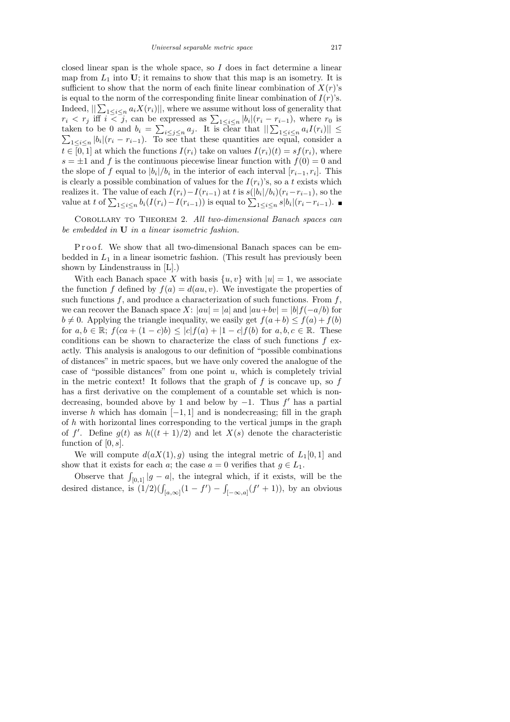closed linear span is the whole space, so I does in fact determine a linear map from  $L_1$  into U; it remains to show that this map is an isometry. It is sufficient to show that the norm of each finite linear combination of  $X(r)$ 's is equal to the norm of the corresponding finite linear combination of  $I(r)$ 's. Indeed,  $||\sum_{1 \leq i \leq n} a_i X(r_i)||$ , where we assume without loss of generality that  $r_i < r_j$  iff  $i \leq j$ , can be expressed as  $\sum_{1 \leq i \leq n} |b_i|(r_i - r_{i-1})$ , where  $r_0$  is taken to be 0 and  $b_i = \sum_{i \leq j \leq n} a_j$ . It is clear that  $\left\| \sum_{1 \leq i \leq n} a_i I(r_i) \right\| \leq \sum_{1 \leq i \leq n} |b_i|(r_i - r_{i-1})$ . To see that these quantities are equal, consider a  $_{1\leq i\leq n}$  |b<sub>i</sub>|( $r_i - r_{i-1}$ ). To see that these quantities are equal, consider a  $t \in [0,1]$  at which the functions  $I(r_i)$  take on values  $I(r_i)(t) = sf(r_i)$ , where  $s = \pm 1$  and f is the continuous piecewise linear function with  $f(0) = 0$  and the slope of f equal to  $|b_i|/b_i$  in the interior of each interval  $[r_{i-1}, r_i]$ . This is clearly a possible combination of values for the  $I(r_i)$ 's, so a t exists which realizes it. The value of each  $I(r_i) - I(r_{i-1})$  at t is  $s(|b_i|/b_i)(r_i - r_{i-1})$ , so the value at t of  $\sum_{1 \leq i \leq n} b_i (I(r_i) - I(r_{i-1}))$  is equal to  $\sum_{1 \leq i \leq n} s |b_i| (r_i - r_{i-1}).$ 

Corollary to Theorem 2. All two-dimensional Banach spaces can be embedded in U in a linear isometric fashion.

P r o o f. We show that all two-dimensional Banach spaces can be embedded in  $L_1$  in a linear isometric fashion. (This result has previously been shown by Lindenstrauss in [L].)

With each Banach space X with basis  $\{u, v\}$  with  $|u|=1$ , we associate the function f defined by  $f(a) = d(au, v)$ . We investigate the properties of such functions  $f$ , and produce a characterization of such functions. From  $f$ , we can recover the Banach space X:  $|au| = |a|$  and  $|au+bv| = |b|f(-a/b)$  for  $b \neq 0$ . Applying the triangle inequality, we easily get  $f(a + b) \leq f(a) + f(b)$ for  $a, b \in \mathbb{R}$ ;  $f(ca + (1 - c)b) \leq |c|f(a) + |1 - c|f(b)$  for  $a, b, c \in \mathbb{R}$ . These conditions can be shown to characterize the class of such functions  $f$  exactly. This analysis is analogous to our definition of "possible combinations of distances" in metric spaces, but we have only covered the analogue of the case of "possible distances" from one point  $u$ , which is completely trivial in the metric context! It follows that the graph of  $f$  is concave up, so  $f$ has a first derivative on the complement of a countable set which is nondecreasing, bounded above by 1 and below by  $-1$ . Thus f' has a partial inverse h which has domain  $[-1, 1]$  and is nondecreasing; fill in the graph of  $h$  with horizontal lines corresponding to the vertical jumps in the graph of f'. Define  $g(t)$  as  $h((t+1)/2)$  and let  $X(s)$  denote the characteristic function of  $[0, s]$ .

We will compute  $d(aX(1), g)$  using the integral metric of  $L_1[0, 1]$  and show that it exists for each a; the case  $a = 0$  verifies that  $g \in L_1$ .

Observe that  $\int_{[0,1]} |g - a|$ , the integral which, if it exists, will be the desired distance, is  $(1/2)(\int_{[a,\infty]} (1-f') - \int_{[-\infty,a]} (f'+1)),$  by an obvious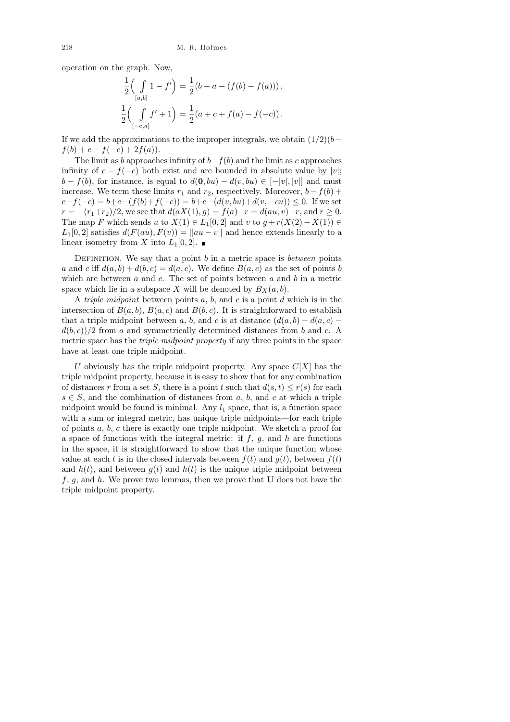operation on the graph. Now,

$$
\frac{1}{2} \left( \int_{[a,b]} 1 - f' \right) = \frac{1}{2} (b - a - (f(b) - f(a))) ,
$$
  

$$
\frac{1}{2} \left( \int_{[-c,a]} f' + 1 \right) = \frac{1}{2} (a + c + f(a) - f(-c)) .
$$

If we add the approximations to the improper integrals, we obtain  $(1/2)(b$  $f(b) + c - f(-c) + 2f(a)$ .

The limit as b approaches infinity of  $b-f(b)$  and the limit as c approaches infinity of  $c - f(-c)$  both exist and are bounded in absolute value by |v|;  $b - f(b)$ , for instance, is equal to  $d(\mathbf{0}, bu) - d(v, bu) \in [-|v|, |v|]$  and must increase. We term these limits  $r_1$  and  $r_2$ , respectively. Moreover,  $b - f(b) +$  $c-f(-c) = b+c-(f(b)+f(-c)) = b+c-(d(v,bu)+d(v,-cu)) \leq 0$ . If we set  $r = -(r_1+r_2)/2$ , we see that  $d(aX(1), g) = f(a)-r = d(au, v)-r$ , and  $r \ge 0$ . The map F which sends u to  $X(1) \in L_1[0,2]$  and v to  $g + r(X(2) - X(1)) \in$  $L_1[0,2]$  satisfies  $d(F(au), F(v)) = ||au - v||$  and hence extends linearly to a linear isometry from X into  $L_1[0,2]$ .

DEFINITION. We say that a point  $b$  in a metric space is *between* points a and c iff  $d(a, b) + d(b, c) = d(a, c)$ . We define  $B(a, c)$  as the set of points b which are between  $a$  and  $c$ . The set of points between  $a$  and  $b$  in a metric space which lie in a subspace X will be denoted by  $B_X(a, b)$ .

A *triple midpoint* between points  $a, b$ , and  $c$  is a point  $d$  which is in the intersection of  $B(a, b)$ ,  $B(a, c)$  and  $B(b, c)$ . It is straightforward to establish that a triple midpoint between a, b, and c is at distance  $(d(a, b) + d(a, c)$  $d(b, c)/2$  from a and symmetrically determined distances from b and c. A metric space has the *triple midpoint property* if any three points in the space have at least one triple midpoint.

U obviously has the triple midpoint property. Any space  $C[X]$  has the triple midpoint property, because it is easy to show that for any combination of distances r from a set S, there is a point t such that  $d(s, t) \leq r(s)$  for each  $s \in S$ , and the combination of distances from a, b, and c at which a triple midpoint would be found is minimal. Any  $l_1$  space, that is, a function space with a sum or integral metric, has unique triple midpoints—for each triple of points a, b, c there is exactly one triple midpoint. We sketch a proof for a space of functions with the integral metric: if  $f, g$ , and  $h$  are functions in the space, it is straightforward to show that the unique function whose value at each t is in the closed intervals between  $f(t)$  and  $g(t)$ , between  $f(t)$ and  $h(t)$ , and between  $g(t)$  and  $h(t)$  is the unique triple midpoint between  $f, g$ , and h. We prove two lemmas, then we prove that **U** does not have the triple midpoint property.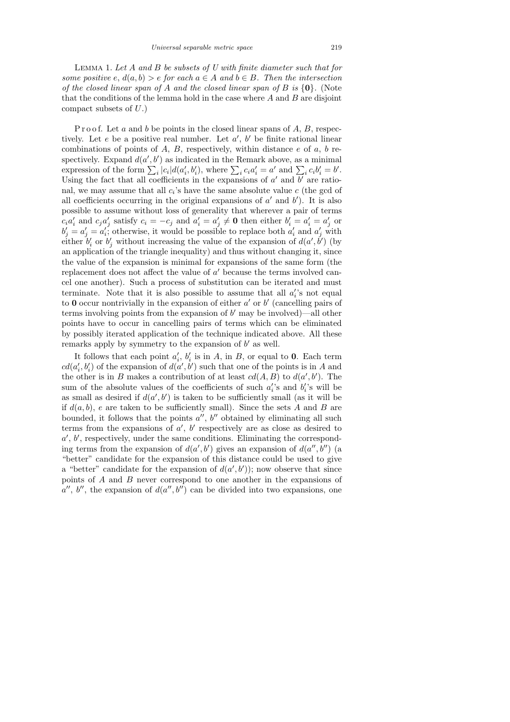Lemma 1. Let A and B be subsets of U with finite diameter such that for some positive e,  $d(a, b) > e$  for each  $a \in A$  and  $b \in B$ . Then the intersection of the closed linear span of A and the closed linear span of B is  $\{0\}$ . (Note that the conditions of the lemma hold in the case where  $A$  and  $B$  are disjoint compact subsets of U.)

P r o o f. Let a and b be points in the closed linear spans of  $A, B$ , respectively. Let  $e$  be a positive real number. Let  $a'$ ,  $b'$  be finite rational linear combinations of points of  $A, B$ , respectively, within distance  $e$  of  $a, b$  respectively. Expand  $d(a', b')$  as indicated in the Remark above, as a minimal expression of the form  $\sum_i |c_i| d(a'_i, b'_i)$ , where  $\sum_i c_i a'_i = a'$  and  $\sum_i c_i b'_i = b'$ . Using the fact that all coefficients in the expansions of  $a'$  and  $b'$  are rational, we may assume that all  $c_i$ 's have the same absolute value  $c$  (the gcd of all coefficients occurring in the original expansions of  $a'$  and  $b'$ ). It is also possible to assume without loss of generality that wherever a pair of terms  $c_i a'_i$  and  $c_j a'_j$  satisfy  $c_i = -c_j$  and  $a'_i = a'_j \neq \mathbf{0}$  then either  $b'_i = a'_i = a'_j$  or  $b'_j = a'_j = a'_i$ ; otherwise, it would be possible to replace both  $a'_i$  and  $a'_j$  with either  $b_i'$  or  $b_j'$  without increasing the value of the expansion of  $d(a', b')$  (by an application of the triangle inequality) and thus without changing it, since the value of the expansion is minimal for expansions of the same form (the replacement does not affect the value of  $a'$  because the terms involved cancel one another). Such a process of substitution can be iterated and must terminate. Note that it is also possible to assume that all  $a_i$ 's not equal to 0 occur nontrivially in the expansion of either  $a'$  or  $b'$  (cancelling pairs of terms involving points from the expansion of  $b'$  may be involved)—all other points have to occur in cancelling pairs of terms which can be eliminated by possibly iterated application of the technique indicated above. All these remarks apply by symmetry to the expansion of  $b'$  as well.

It follows that each point  $a'_i$ ,  $b'_i$  is in A, in B, or equal to 0. Each term  $cd(a'_i, b'_i)$  of the expansion of  $d(a', b')$  such that one of the points is in A and the other is in B makes a contribution of at least  $cd(A, B)$  to  $d(a', b')$ . The sum of the absolute values of the coefficients of such  $a_i$ 's and  $b_i$ 's will be as small as desired if  $d(a', b')$  is taken to be sufficiently small (as it will be if  $d(a, b)$ , e are taken to be sufficiently small). Since the sets A and B are bounded, it follows that the points  $a''$ ,  $b''$  obtained by eliminating all such terms from the expansions of  $a'$ ,  $b'$  respectively are as close as desired to  $a', b'$ , respectively, under the same conditions. Eliminating the corresponding terms from the expansion of  $d(a', b')$  gives an expansion of  $d(a'', b'')$  (a "better" candidate for the expansion of this distance could be used to give a "better" candidate for the expansion of  $d(a', b')$ ; now observe that since points of A and B never correspond to one another in the expansions of  $a''$ , b'', the expansion of  $d(a'', b'')$  can be divided into two expansions, one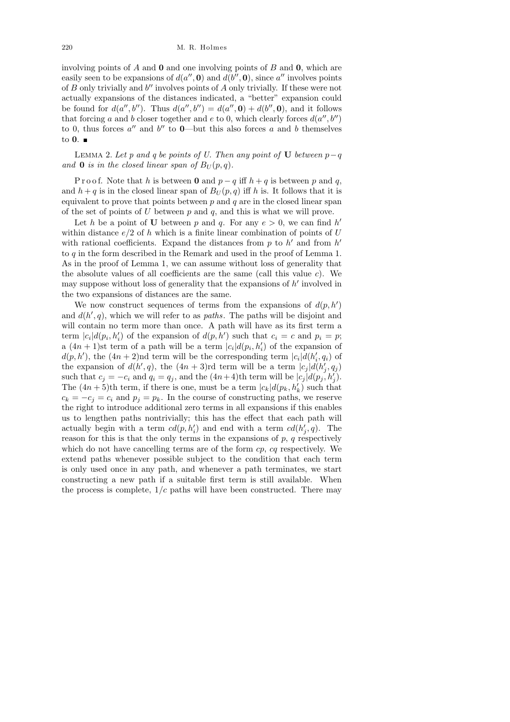involving points of A and  $\bf{0}$  and one involving points of B and  $\bf{0}$ , which are easily seen to be expansions of  $d(a'', \mathbf{0})$  and  $d(b'', \mathbf{0})$ , since  $a''$  involves points of  $B$  only trivially and  $b''$  involves points of  $A$  only trivially. If these were not actually expansions of the distances indicated, a "better" expansion could be found for  $d(a'', b'')$ . Thus  $d(a'', b'') = d(a'', \mathbf{0}) + d(b'', \mathbf{0})$ , and it follows that forcing a and b closer together and e to 0, which clearly forces  $d(a'', b'')$ to 0, thus forces  $a''$  and  $b''$  to 0—but this also forces a and b themselves to  $\mathbf{0}$ .

LEMMA 2. Let p and q be points of U. Then any point of U between  $p-q$ and **0** is in the closed linear span of  $B_U(p,q)$ .

P r o o f. Note that h is between 0 and  $p - q$  iff  $h + q$  is between p and q, and  $h + q$  is in the closed linear span of  $B_U(p,q)$  iff h is. It follows that it is equivalent to prove that points between  $p$  and  $q$  are in the closed linear span of the set of points of  $U$  between  $p$  and  $q$ , and this is what we will prove.

Let h be a point of U between p and q. For any  $e > 0$ , we can find h' within distance  $e/2$  of h which is a finite linear combination of points of U with rational coefficients. Expand the distances from  $p$  to  $h'$  and from  $h'$ to q in the form described in the Remark and used in the proof of Lemma 1. As in the proof of Lemma 1, we can assume without loss of generality that the absolute values of all coefficients are the same (call this value  $c$ ). We may suppose without loss of generality that the expansions of  $h'$  involved in the two expansions of distances are the same.

We now construct sequences of terms from the expansions of  $d(p, h')$ and  $d(h', q)$ , which we will refer to as *paths*. The paths will be disjoint and will contain no term more than once. A path will have as its first term a term  $|c_i|d(p_i, h'_i)$  of the expansion of  $d(p, h')$  such that  $c_i = c$  and  $p_i = p$ ; a  $(4n+1)$ st term of a path will be a term  $|c_i|d(p_i, h'_i)$  of the expansion of  $d(p, h')$ , the  $(4n + 2)$ nd term will be the corresponding term  $|c_i| d(h'_i, q_i)$  of the expansion of  $d(h', q)$ , the  $(4n + 3)$ rd term will be a term  $|c_j|d(h'_j, q_j)$ such that  $c_j = -c_i$  and  $q_i = q_j$ , and the  $(4n+4)$ th term will be  $|c_j|d(p_j, h'_j)$ . The  $(4n+5)$ th term, if there is one, must be a term  $|c_k|d(p_k, h'_k)$  such that  $c_k = -c_j = c_i$  and  $p_j = p_k$ . In the course of constructing paths, we reserve the right to introduce additional zero terms in all expansions if this enables us to lengthen paths nontrivially; this has the effect that each path will actually begin with a term  $cl(p, h'_i)$  and end with a term  $cl(h'_j, q)$ . The reason for this is that the only terms in the expansions of  $p$ ,  $q$  respectively which do not have cancelling terms are of the form cp, cq respectively. We extend paths whenever possible subject to the condition that each term is only used once in any path, and whenever a path terminates, we start constructing a new path if a suitable first term is still available. When the process is complete,  $1/c$  paths will have been constructed. There may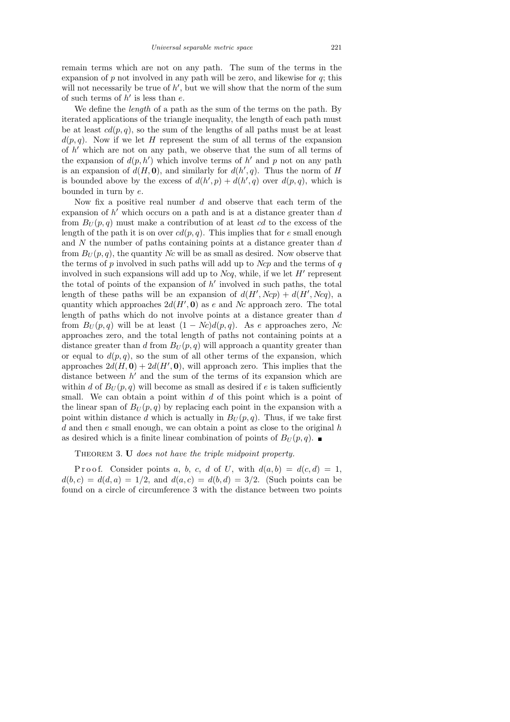remain terms which are not on any path. The sum of the terms in the expansion of  $p$  not involved in any path will be zero, and likewise for  $q$ ; this will not necessarily be true of  $h'$ , but we will show that the norm of the sum of such terms of  $h'$  is less than  $e$ .

We define the *length* of a path as the sum of the terms on the path. By iterated applications of the triangle inequality, the length of each path must be at least  $cd(p, q)$ , so the sum of the lengths of all paths must be at least  $d(p, q)$ . Now if we let H represent the sum of all terms of the expansion of  $h'$  which are not on any path, we observe that the sum of all terms of the expansion of  $d(p, h')$  which involve terms of h' and p not on any path is an expansion of  $d(H, 0)$ , and similarly for  $d(h', q)$ . Thus the norm of H is bounded above by the excess of  $d(h', p) + d(h', q)$  over  $d(p, q)$ , which is bounded in turn by e.

Now fix a positive real number  $d$  and observe that each term of the expansion of  $h'$  which occurs on a path and is at a distance greater than  $d$ from  $B_U(p,q)$  must make a contribution of at least cd to the excess of the length of the path it is on over  $cd(p, q)$ . This implies that for e small enough and N the number of paths containing points at a distance greater than d from  $B_U(p,q)$ , the quantity Nc will be as small as desired. Now observe that the terms of  $p$  involved in such paths will add up to  $Ncp$  and the terms of  $q$ involved in such expansions will add up to  $Ncq$ , while, if we let  $H'$  represent the total of points of the expansion of  $h'$  involved in such paths, the total length of these paths will be an expansion of  $d(H', Ncp) + d(H', Ncq)$ , a quantity which approaches  $2d(H', 0)$  as e and Nc approach zero. The total length of paths which do not involve points at a distance greater than d from  $B_U(p,q)$  will be at least  $(1 - Nc)d(p,q)$ . As e approaches zero, Nc approaches zero, and the total length of paths not containing points at a distance greater than d from  $B_U(p,q)$  will approach a quantity greater than or equal to  $d(p, q)$ , so the sum of all other terms of the expansion, which approaches  $2d(H, 0) + 2d(H', 0)$ , will approach zero. This implies that the distance between  $h'$  and the sum of the terms of its expansion which are within d of  $B_U(p,q)$  will become as small as desired if e is taken sufficiently small. We can obtain a point within d of this point which is a point of the linear span of  $B_U(p,q)$  by replacing each point in the expansion with a point within distance d which is actually in  $B_U(p,q)$ . Thus, if we take first d and then  $e$  small enough, we can obtain a point as close to the original  $h$ as desired which is a finite linear combination of points of  $B_U(p,q)$ .

THEOREM 3. U does not have the triple midpoint property.

P r o o f. Consider points a, b, c, d of U, with  $d(a, b) = d(c, d) = 1$ ,  $d(b, c) = d(d, a) = 1/2$ , and  $d(a, c) = d(b, d) = 3/2$ . (Such points can be found on a circle of circumference 3 with the distance between two points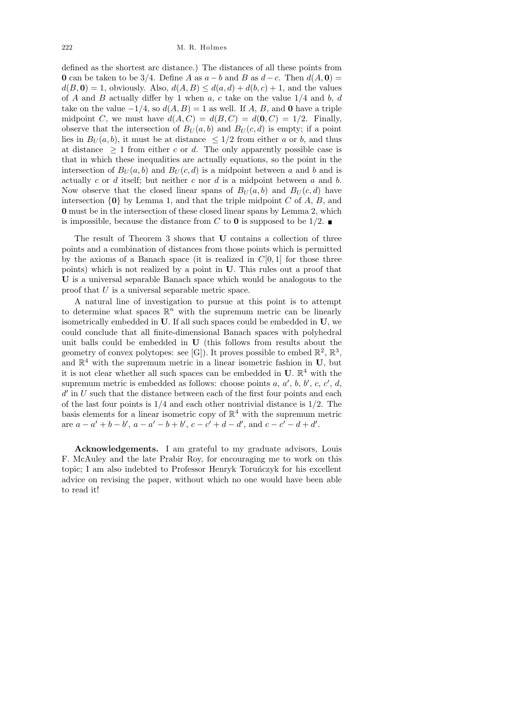#### 222 M. R. Holmes

defined as the shortest arc distance.) The distances of all these points from 0 can be taken to be 3/4. Define A as  $a - b$  and B as  $d - c$ . Then  $d(A, 0) =$  $d(B, 0) = 1$ , obviously. Also,  $d(A, B) \leq d(a, d) + d(b, c) + 1$ , and the values of A and B actually differ by 1 when  $a, c$  take on the value  $1/4$  and b, d take on the value  $-1/4$ , so  $d(A, B) = 1$  as well. If A, B, and 0 have a triple midpoint C, we must have  $d(A, C) = d(B, C) = d(0, C) = 1/2$ . Finally, observe that the intersection of  $B_U(a, b)$  and  $B_U(c, d)$  is empty; if a point lies in  $B_U(a, b)$ , it must be at distance  $\leq 1/2$  from either a or b, and thus at distance  $\geq 1$  from either c or d. The only apparently possible case is that in which these inequalities are actually equations, so the point in the intersection of  $B_U(a, b)$  and  $B_U(c, d)$  is a midpoint between a and b and is actually c or d itself; but neither c nor d is a midpoint between  $a$  and  $b$ . Now observe that the closed linear spans of  $B_U(a, b)$  and  $B_U(c, d)$  have intersection  $\{0\}$  by Lemma 1, and that the triple midpoint C of A, B, and 0 must be in the intersection of these closed linear spans by Lemma 2, which is impossible, because the distance from C to 0 is supposed to be  $1/2$ .

The result of Theorem 3 shows that U contains a collection of three points and a combination of distances from those points which is permitted by the axioms of a Banach space (it is realized in  $C[0, 1]$  for those three points) which is not realized by a point in U. This rules out a proof that U is a universal separable Banach space which would be analogous to the proof that U is a universal separable metric space.

A natural line of investigation to pursue at this point is to attempt to determine what spaces  $\mathbb{R}^n$  with the supremum metric can be linearly isometrically embedded in U. If all such spaces could be embedded in U, we could conclude that all finite-dimensional Banach spaces with polyhedral unit balls could be embedded in U (this follows from results about the geometry of convex polytopes: see [G]). It proves possible to embed  $\mathbb{R}^2$ ,  $\mathbb{R}^3$ , and  $\mathbb{R}^4$  with the supremum metric in a linear isometric fashion in U, but it is not clear whether all such spaces can be embedded in  $U$ .  $\mathbb{R}^4$  with the supremum metric is embedded as follows: choose points  $a, a', b, b', c, c', d$ ,  $d'$  in  $U$  such that the distance between each of the first four points and each of the last four points is  $1/4$  and each other nontrivial distance is  $1/2$ . The basis elements for a linear isometric copy of  $\mathbb{R}^4$  with the supremum metric are  $a - a' + b - b'$ ,  $a - a' - b + b'$ ,  $c - c' + d - d'$ , and  $c - c' - d + d'$ .

Acknowledgements. I am grateful to my graduate advisors, Louis F. McAuley and the late Prabir Roy, for encouraging me to work on this topic; I am also indebted to Professor Henryk Torunczyk for his excellent advice on revising the paper, without which no one would have been able to read it!